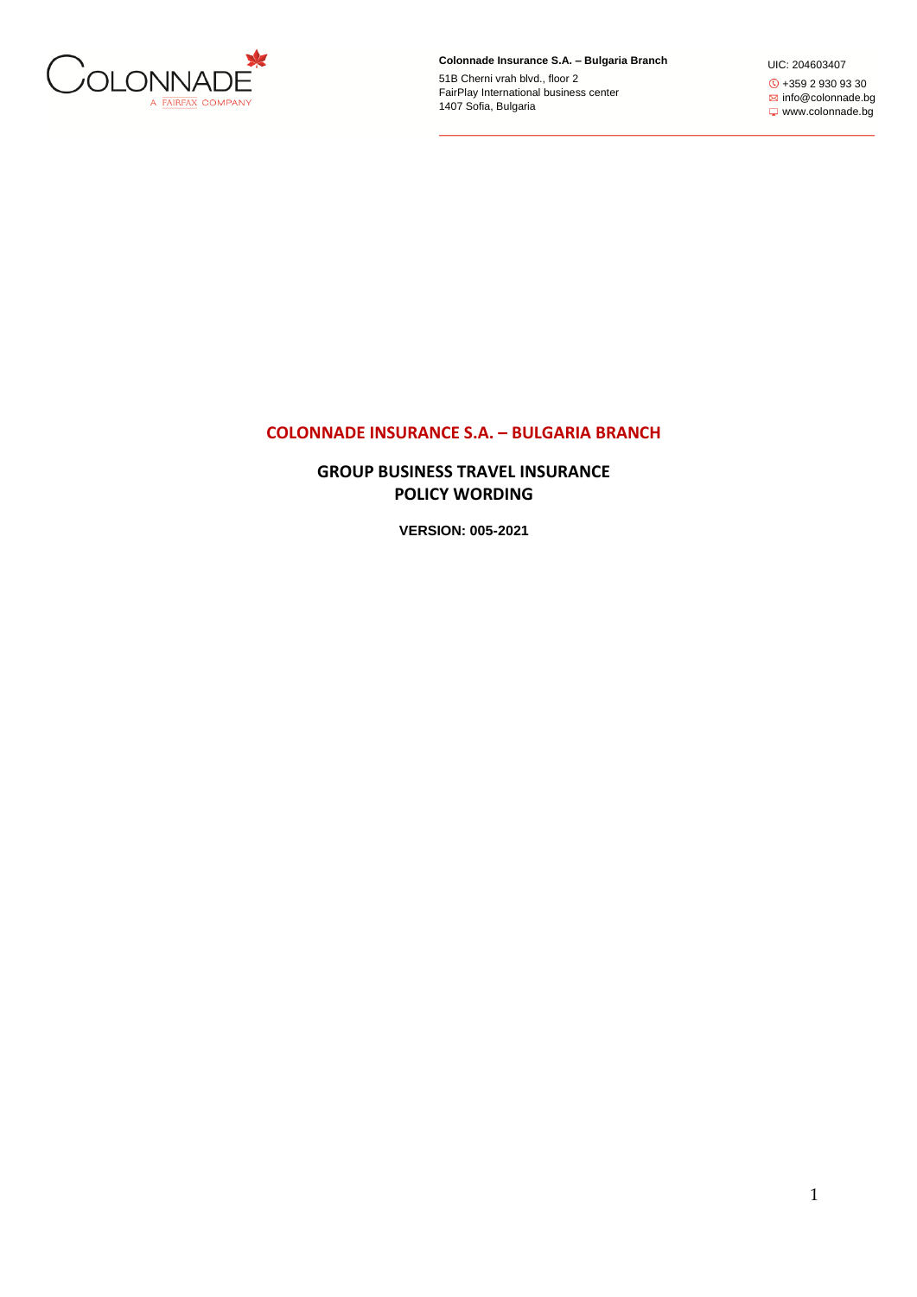

**Colonnade Insurance S.A. – Bulgaria Branch**

51B Cherni vrah blvd., floor 2 FairPlay International business center 1407 Sofia, Bulgaria

UIC: 204603407 +359 2 930 93 30 **info@colonnade.bg** www.colonnade.bg

# **COLONNADE INSURANCE S.A. – BULGARIA BRANCH**

**GROUP BUSINESS TRAVEL INSURANCE POLICY WORDING**

**VERSION: 005-2021**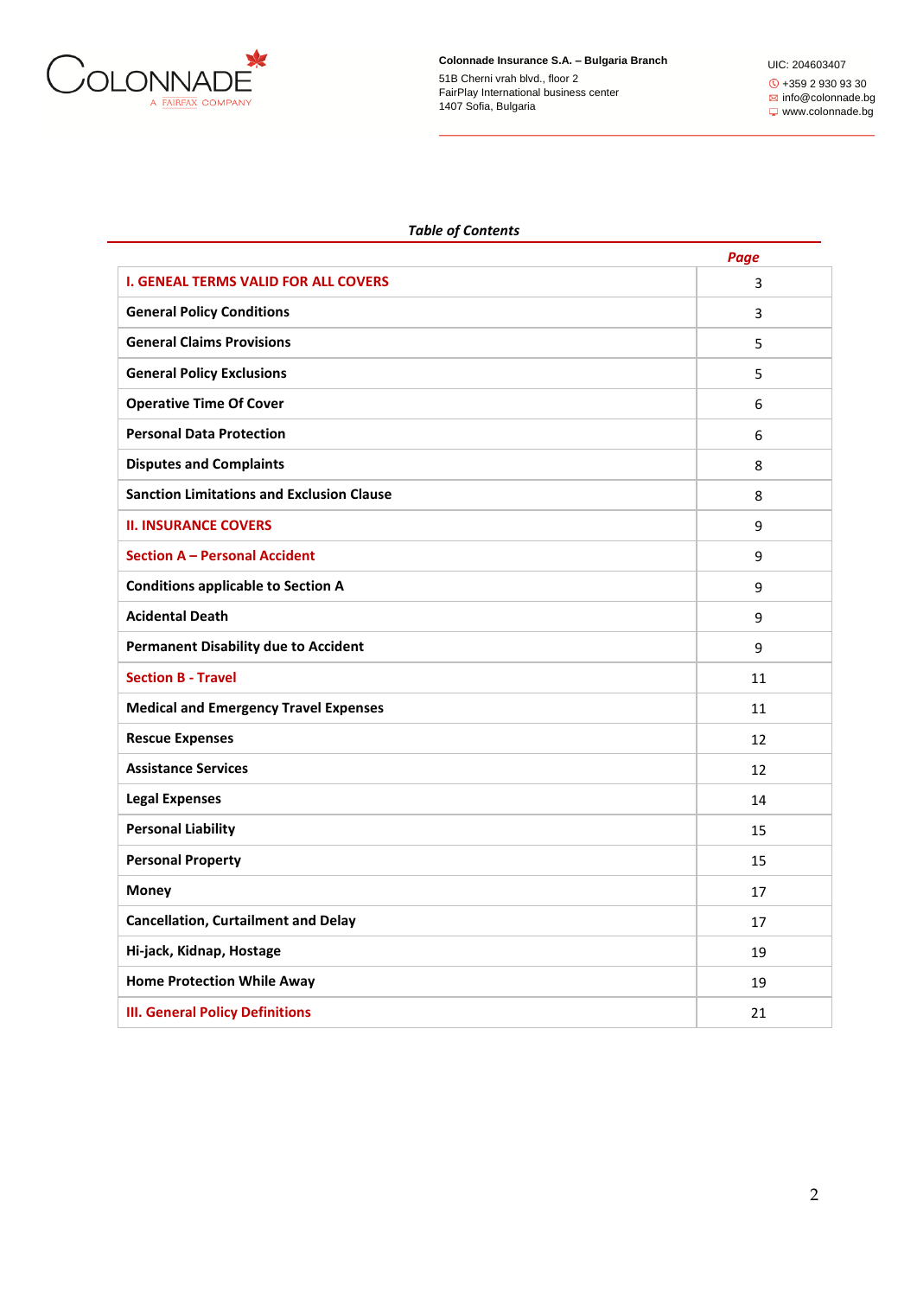

UIC: 204603407 +359 2 930 93 30 **info@colonnade.bg** www.colonnade.bg

# *Table of Contents*

|                                                  | Page |
|--------------------------------------------------|------|
| <b>I. GENEAL TERMS VALID FOR ALL COVERS</b>      | 3    |
| <b>General Policy Conditions</b>                 | 3    |
| <b>General Claims Provisions</b>                 | 5    |
| <b>General Policy Exclusions</b>                 | 5    |
| <b>Operative Time Of Cover</b>                   | 6    |
| <b>Personal Data Protection</b>                  | 6    |
| <b>Disputes and Complaints</b>                   | 8    |
| <b>Sanction Limitations and Exclusion Clause</b> | 8    |
| <b>II. INSURANCE COVERS</b>                      | 9    |
| <b>Section A - Personal Accident</b>             | 9    |
| <b>Conditions applicable to Section A</b>        | 9    |
| <b>Acidental Death</b>                           | 9    |
| <b>Permanent Disability due to Accident</b>      | 9    |
| <b>Section B - Travel</b>                        | 11   |
| <b>Medical and Emergency Travel Expenses</b>     | 11   |
| <b>Rescue Expenses</b>                           | 12   |
| <b>Assistance Services</b>                       | 12   |
| <b>Legal Expenses</b>                            | 14   |
| <b>Personal Liability</b>                        | 15   |
| <b>Personal Property</b>                         | 15   |
| <b>Money</b>                                     | 17   |
| <b>Cancellation, Curtailment and Delay</b>       | 17   |
| Hi-jack, Kidnap, Hostage                         | 19   |
| <b>Home Protection While Away</b>                | 19   |
| <b>III. General Policy Definitions</b>           | 21   |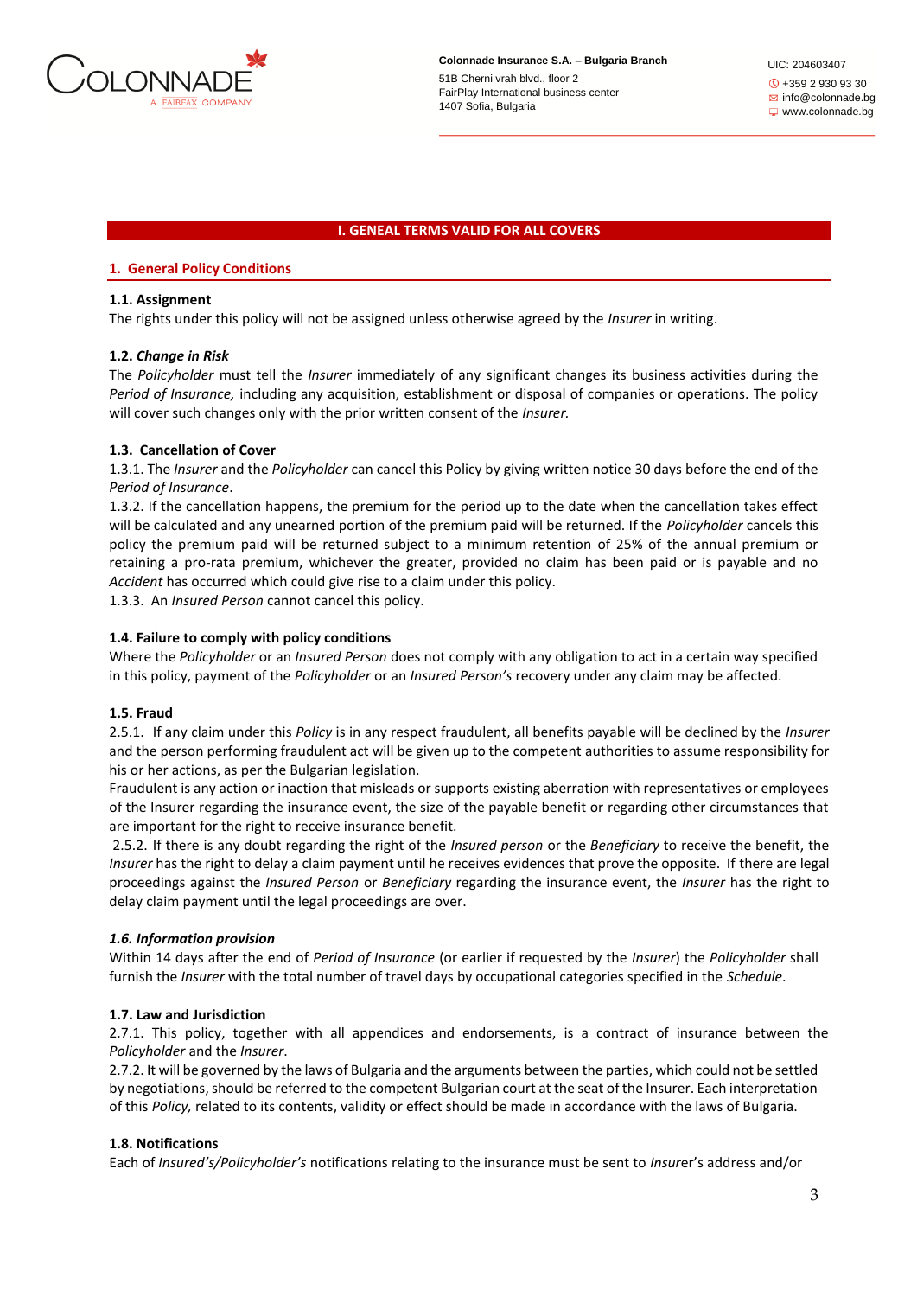

#### **I. GENEAL TERMS VALID FOR ALL COVERS**

### **1. General Policy Conditions**

### **1.1. Assignment**

Thе rights under this policy will not be assigned unless otherwise agreed by the *Insurer* in writing.

### **1.2.** *Change in Risk*

The *Policyholder* must tell the *Insurer* immediately of any significant changes its business activities during the *Period of Insurance,* including any acquisition, establishment or disposal of companies or operations. The policy will cover such changes only with the prior written consent of the *Insurer.*

# **1.3. Cancellation of Cover**

1.3.1. The *Insurer* and the *Policyholder* can cancel this Policy by giving written notice 30 days before the end of the *Period of Insurance*.

1.3.2. If the cancellation happens, the premium for the period up to the date when the cancellation takes effect will be calculated and any unearned portion of the premium paid will be returned. If the *Policyholder* cancels this policy the premium paid will be returned subject to a minimum retention of 25% of the annual premium or retaining a pro-rata premium, whichever the greater, provided no claim has been paid or is payable and no *Accident* has occurred which could give rise to a claim under this policy.

1.3.3. An *Insured Person* cannot cancel this policy.

#### **1.4. Failure to comply with policy conditions**

Where the *Policyholder* or an *Insured Person* does not comply with any obligation to act in a certain way specified in this policy, payment of the *Policyholder* or an *Insured Person's* recovery under any claim may be affected.

#### **1.5. Fraud**

2.5.1. If any claim under this *Policy* is in any respect fraudulent, all benefits payable will be declined by the *Insurer*  and the person performing fraudulent act will be given up to the competent authorities to assume responsibility for his or her actions, as per the Bulgarian legislation.

Fraudulent is any action or inaction that misleads or supports existing aberration with representatives or employees of the Insurer regarding the insurance event, the size of the payable benefit or regarding other circumstances that are important for the right to receive insurance benefit.

2.5.2. If there is any doubt regarding the right of the *Insured person* or the *Beneficiary* to receive the benefit, the *Insurer* has the right to delay a claim payment until he receives evidences that prove the opposite. If there are legal proceedings against the *Insured Person* or *Beneficiary* regarding the insurance event, the *Insurer* has the right to delay claim payment until the legal proceedings are over.

# *1.6. Information provision*

Within 14 days after the end of *Period of Insurance* (or earlier if requested by the *Insurer*) the *Policyholder* shall furnish the *Insurer* with the total number of travel days by occupational categories specified in the *Schedule*.

# **1.7. Law and Jurisdiction**

2.7.1. This policy, together with all appendices and endorsements, is a contract of insurance between the *Policyholder* and the *Insurer*.

2.7.2. It will be governed by the laws of Bulgaria and the arguments between the parties, which could not be settled by negotiations, should be referred to the competent Bulgarian court at the seat of the Insurer. Each interpretation of this *Policy,* related to its contents, validity or effect should be made in accordance with the laws of Bulgaria.

# **1.8. Notifications**

Each of *Insured's/Policyholder's* notifications relating to the insurance must be sent to *Insur*er's address and/or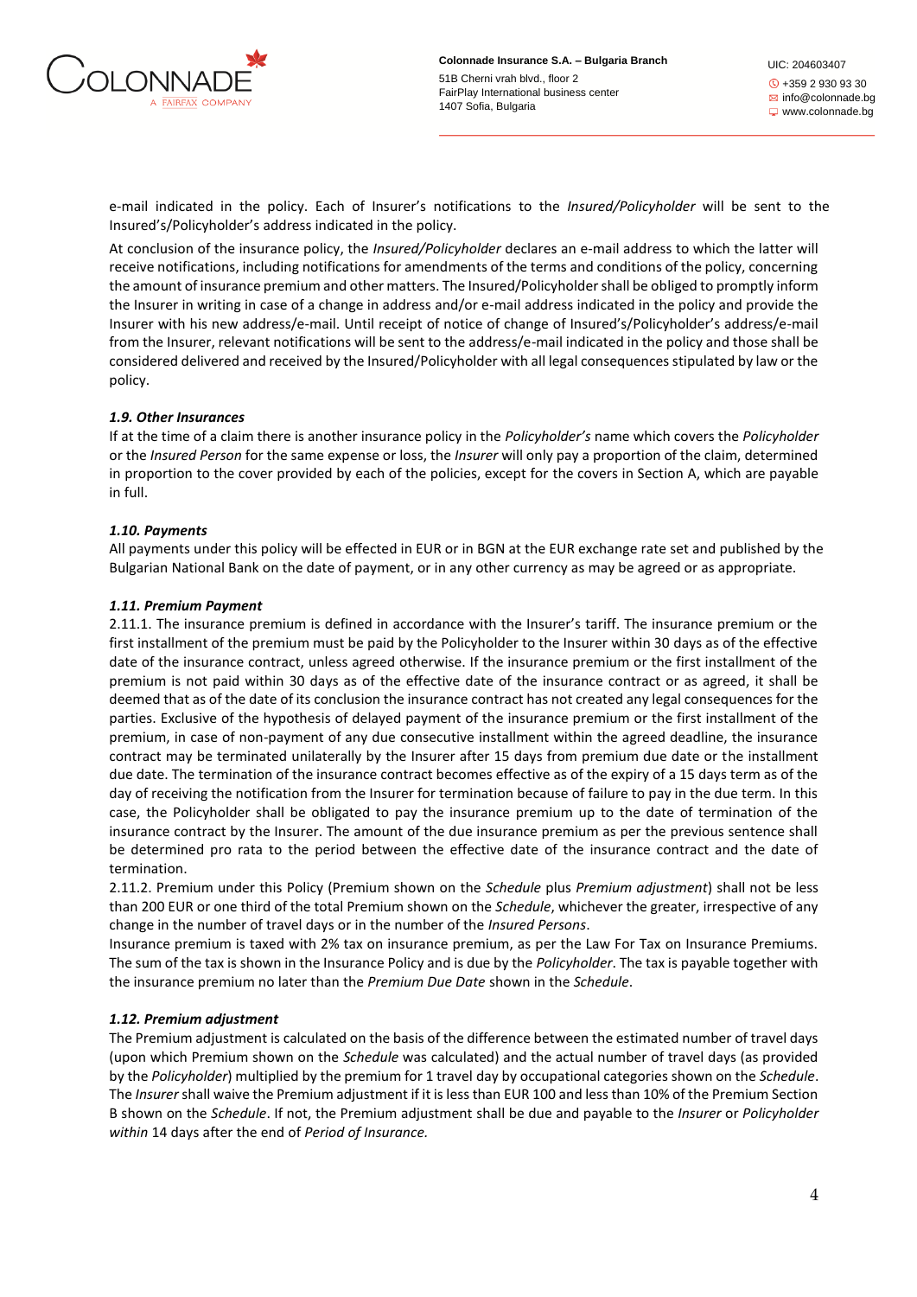

e-mail indicated in the policy. Each of Insurer's notifications to the *Insured/Policyholder* will be sent to the Insured's/Policyholder's address indicated in the policy.

At conclusion of the insurance policy, the *Insured/Policyholder* declares an e-mail address to which the latter will receive notifications, including notifications for amendments of the terms and conditions of the policy, concerning the amount of insurance premium and other matters. The Insured/Policyholder shall be obliged to promptly inform the Insurer in writing in case of a change in address and/or e-mail address indicated in the policy and provide the Insurer with his new address/e-mail. Until receipt of notice of change of Insured's/Policyholder's address/e-mail from the Insurer, relevant notifications will be sent to the address/e-mail indicated in the policy and those shall be considered delivered and received by the Insured/Policyholder with all legal consequences stipulated by law or the policy.

# *1.9. Other Insurances*

If at the time of a claim there is another insurance policy in the *Policyholder's* name which covers the *Policyholder*  or the *Insured Person* for the same expense or loss, the *Insurer* will only pay a proportion of the claim, determined in proportion to the cover provided by each of the policies, except for the covers in Section A, which are payable in full.

# *1.10. Payments*

All payments under this policy will be effected in EUR or in BGN at the EUR exchange rate set and published by the Bulgarian National Bank on the date of payment, or in any other currency as may be agreed or as appropriate.

# *1.11. Premium Payment*

2.11.1. The insurance premium is defined in accordance with the Insurer's tariff. The insurance premium or the first installment of the premium must be paid by the Policyholder to the Insurer within 30 days as of the effective date of the insurance contract, unless agreed otherwise. If the insurance premium or the first installment of the premium is not paid within 30 days as of the effective date of the insurance contract or as agreed, it shall be deemed that as of the date of its conclusion the insurance contract has not created any legal consequences for the parties. Exclusive of the hypothesis of delayed payment of the insurance premium or the first installment of the premium, in case of non-payment of any due consecutive installment within the agreed deadline, the insurance contract may be terminated unilaterally by the Insurer after 15 days from premium due date or the installment due date. The termination of the insurance contract becomes effective as of the expiry of a 15 days term as of the day of receiving the notification from the Insurer for termination because of failure to pay in the due term. In this case, the Policyholder shall be obligated to pay the insurance premium up to the date of termination of the insurance contract by the Insurer. The amount of the due insurance premium as per the previous sentence shall be determined pro rata to the period between the effective date of the insurance contract and the date of termination.

2.11.2. Premium under this Policy (Premium shown on the *Schedule* plus *Premium adjustment*) shall not be less than 200 EUR or one third of the total Premium shown on the *Schedule*, whichever the greater, irrespective of any change in the number of travel days or in the number of the *Insured Persons*.

Insurance premium is taxed with 2% tax on insurance premium, as per the Law For Tax on Insurance Premiums. The sum of the tax is shown in the Insurance Policy and is due by the *Policyholder*. The tax is payable together with the insurance premium no later than the *Premium Due Date* shown in the *Schedule*.

# *1.12. Premium adjustment*

The Premium adjustment is calculated on the basis of the difference between the estimated number of travel days (upon which Premium shown on the *Schedule* was calculated) and the actual number of travel days (as provided by the *Policyholder*) multiplied by the premium for 1 travel day by occupational categories shown on the *Schedule*. The *Insurer* shall waive the Premium adjustment if it is less than EUR 100 and less than 10% of the Premium Section B shown on the *Schedule*. If not, the Premium adjustment shall be due and payable to the *Insurer* or *Policyholder within* 14 days after the end of *Period of Insurance.*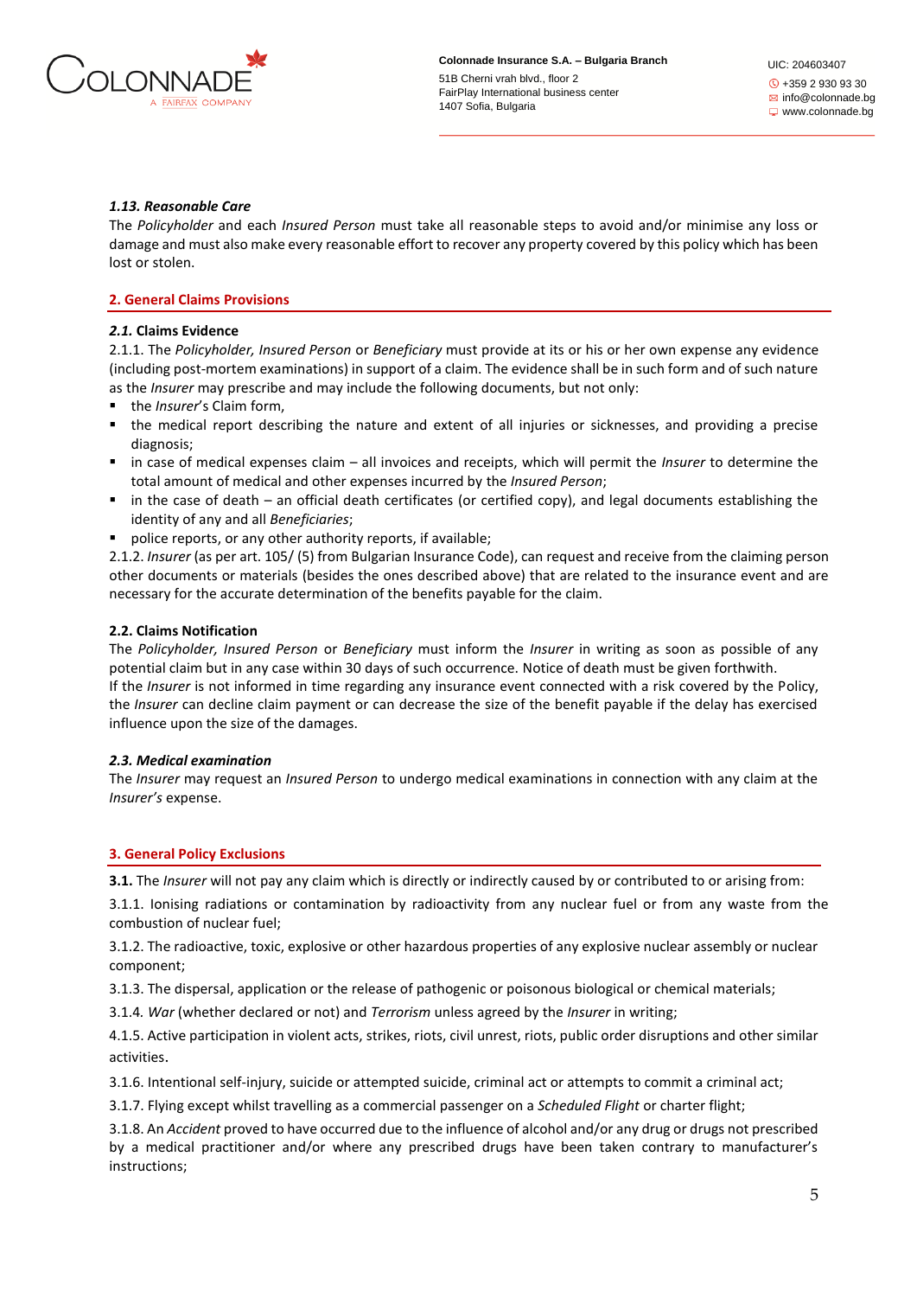

### *1.13. Reasonable Care*

The *Policyholder* and each *Insured Person* must take all reasonable steps to avoid and/or minimise any loss or damage and must also make every reasonable effort to recover any property covered by this policy which has been lost or stolen.

### **2. General Claims Provisions**

### *2.1.* **Claims Evidence**

2.1.1. The *Policyholder, Insured Person* or *Beneficiary* must provide at its or his or her own expense any evidence (including post-mortem examinations) in support of a claim. The evidence shall be in such form and of such nature as the *Insurer* may prescribe and may include the following documents, but not only:

- the *Insurer's* Claim form,
- the medical report describing the nature and extent of all injuries or sicknesses, and providing a precise diagnosis;
- in case of medical expenses claim all invoices and receipts, which will permit the *Insurer* to determine the total amount of medical and other expenses incurred by the *Insured Person*;
- in the case of death an official death certificates (or certified copy), and legal documents establishing the identity of any and all *Beneficiaries*;
- police reports, or any other authority reports, if available;

2.1.2. *Insurer* (as per art. 105/ (5) from Bulgarian Insurance Code), can request and receive from the claiming person other documents or materials (besides the ones described above) that are related to the insurance event and are necessary for the accurate determination of the benefits payable for the claim.

### **2.2. Claims Notification**

The *Policyholder, Insured Person* or *Beneficiary* must inform the *Insurer* in writing as soon as possible of any potential claim but in any case within 30 days of such occurrence. Notice of death must be given forthwith. If the *Insurer* is not informed in time regarding any insurance event connected with a risk covered by the Policy, the *Insurer* can decline claim payment or can decrease the size of the benefit payable if the delay has exercised influence upon the size of the damages.

#### *2.3. Medical examination*

The *Insurer* may request an *Insured Person* to undergo medical examinations in connection with any claim at the *Insurer's* expense.

#### **3. General Policy Exclusions**

**3.1.** The *Insurer* will not pay any claim which is directly or indirectly caused by or contributed to or arising from:

3.1.1. Ionising radiations or contamination by radioactivity from any nuclear fuel or from any waste from the combustion of nuclear fuel;

3.1.2. The radioactive, toxic, explosive or other hazardous properties of any explosive nuclear assembly or nuclear component;

3.1.3. The dispersal, application or the release of pathogenic or poisonous biological or chemical materials;

3.1.4*. War* (whether declared or not) and *Terrorism* unless agreed by the *Insurer* in writing;

4.1.5. Active participation in violent acts, strikes, riots, civil unrest, riots, public order disruptions and other similar activities.

3.1.6. Intentional self-injury, suicide or attempted suicide, criminal act or attempts to commit a criminal act;

3.1.7. Flying except whilst travelling as a commercial passenger on a *Scheduled Flight* or charter flight;

3.1.8. An *Accident* proved to have occurred due to the influence of alcohol and/or any drug or drugs not prescribed by a medical practitioner and/or where any prescribed drugs have been taken contrary to manufacturer's instructions;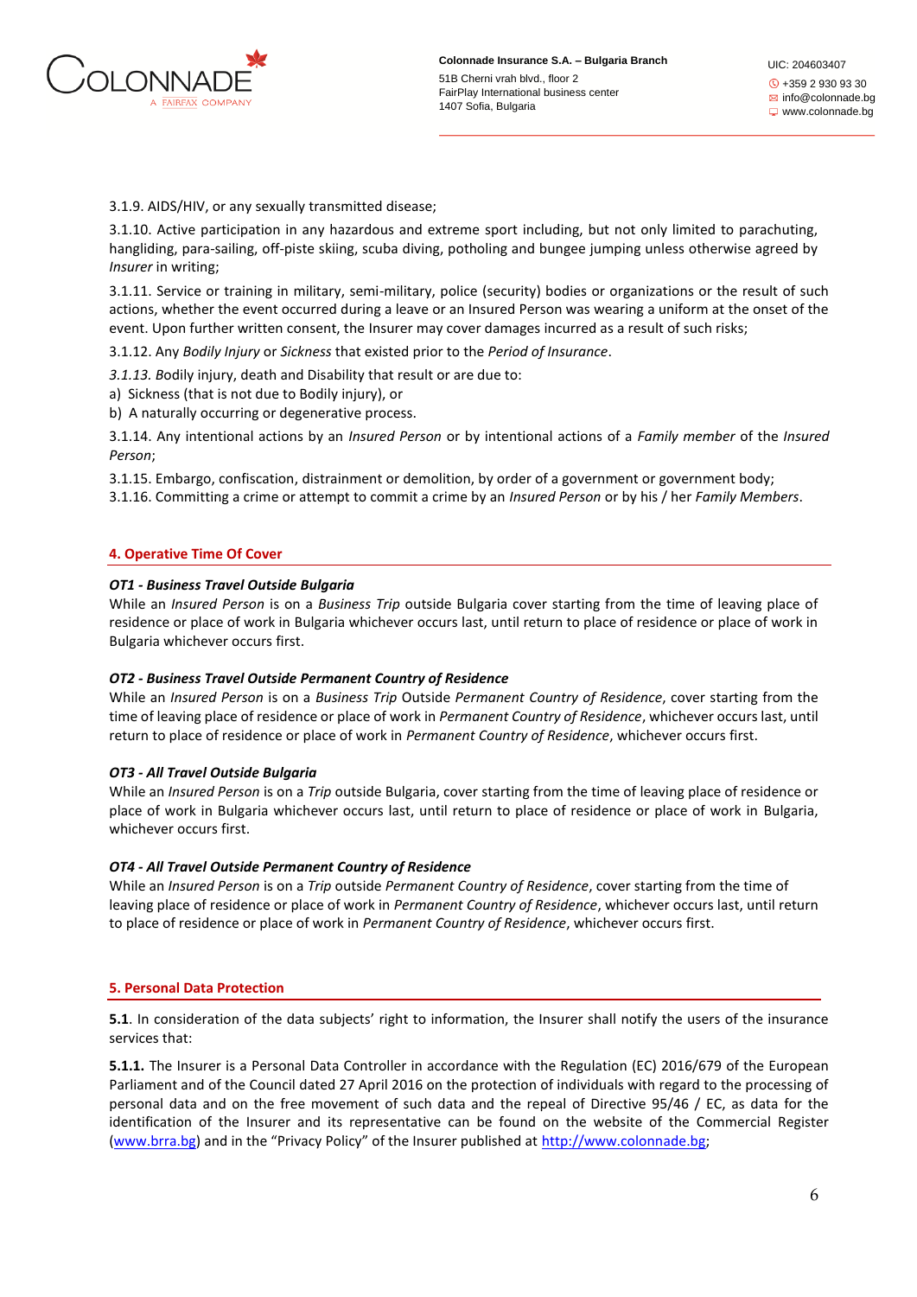

UIC: 204603407 +359 2 930 93 30  $\boxtimes$  info@colonnade.bg www.colonnade.bg

3.1.9. AIDS/HIV, or any sexually transmitted disease;

3.1.10. Active participation in any hazardous and extreme sport including, but not only limited to parachuting, hangliding, para-sailing, off-piste skiing, scuba diving, potholing and bungee jumping unless otherwise agreed by *Insurer* in writing;

3.1.11. Service or training in military, semi-military, police (security) bodies or organizations or the result of such actions, whether the event occurred during a leave or an Insured Person was wearing a uniform at the onset of the event. Upon further written consent, the Insurer may cover damages incurred as a result of such risks;

3.1.12. Any *Bodily Injury* or *Sickness* that existed prior to the *Period of Insurance*.

*3.1.13. B*odily injury, death and Disability that result or are due to:

a) Sickness (that is not due to Bodily injury), or

b) A naturally occurring or degenerative process.

3.1.14. Any intentional actions by an *Insured Person* or by intentional actions of a *Family member* of the *Insured Person*;

3.1.15. Embargo, confiscation, distrainment or demolition, by order of a government or government body;

3.1.16. Committing a crime or attempt to commit a crime by an *Insured Person* or by his / her *Family Members*.

# **4. Operative Time Of Cover**

# *OT1 - Business Travel Outside Bulgaria*

While an *Insured Person* is on a *Business Trip* outside Bulgaria cover starting from the time of leaving place of residence or place of work in Bulgaria whichever occurs last, until return to place of residence or place of work in Bulgaria whichever occurs first.

# *OT2 - Business Travel Outside Permanent Country of Residence*

While an *Insured Person* is on a *Business Trip* Outside *Permanent Country of Residence*, cover starting from the time of leaving place of residence or place of work in *Permanent Country of Residence*, whichever occurs last, until return to place of residence or place of work in *Permanent Country of Residence*, whichever occurs first.

# *OT3 - All Travel Outside Bulgaria*

While an *Insured Person* is on a *Trip* outside Bulgaria, cover starting from the time of leaving place of residence or place of work in Bulgaria whichever occurs last, until return to place of residence or place of work in Bulgaria, whichever occurs first.

# *OT4 - All Travel Outside Permanent Country of Residence*

While an *Insured Person* is on a *Trip* outside *Permanent Country of Residence*, cover starting from the time of leaving place of residence or place of work in *Permanent Country of Residence*, whichever occurs last, until return to place of residence or place of work in *Permanent Country of Residence*, whichever occurs first.

# **5. Personal Data Protection**

**5.1**. In consideration of the data subjects' right to information, the Insurer shall notify the users of the insurance services that:

**5.1.1.** The Insurer is a Personal Data Controller in accordance with the Regulation (EC) 2016/679 of the European Parliament and of the Council dated 27 April 2016 on the protection of individuals with regard to the processing of personal data and on the free movement of such data and the repeal of Directive 95/46 / EC, as data for the identification of the Insurer and its representative can be found on the website of the Commercial Register [\(www.brra.bg](http://www.brra.bg/)) and in the "Privacy Policy" of the Insurer published at [http://www.colonnade.bg;](http://www.colonnade.bg/)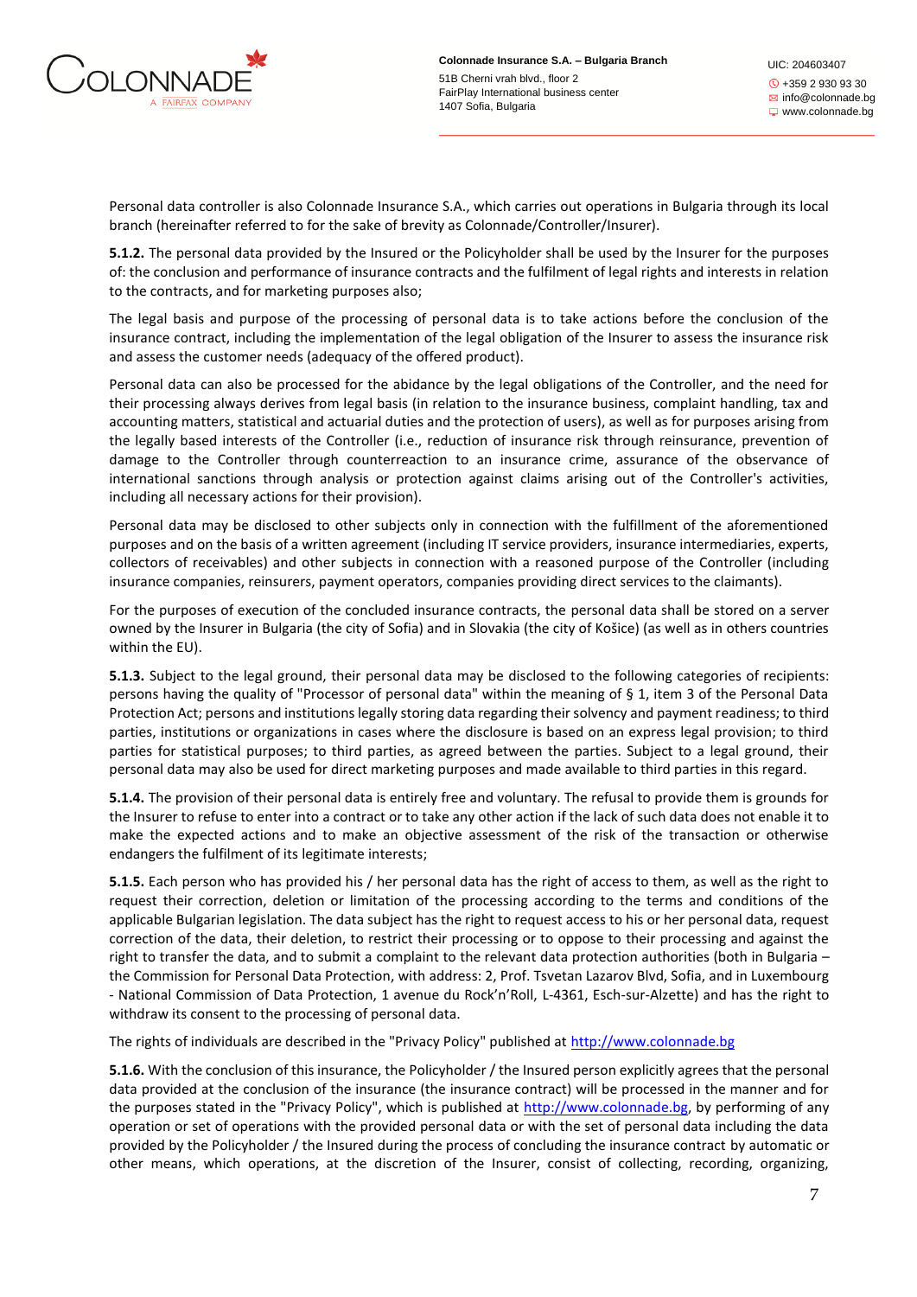

Personal data controller is also Colonnade Insurance S.A., which carries out operations in Bulgaria through its local branch (hereinafter referred to for the sake of brevity as Colonnade/Controller/Insurer).

**5.1.2.** The personal data provided by the Insured or the Policyholder shall be used by the Insurer for the purposes of: the conclusion and performance of insurance contracts and the fulfilment of legal rights and interests in relation to the contracts, and for marketing purposes also;

The legal basis and purpose of the processing of personal data is to take actions before the conclusion of the insurance contract, including the implementation of the legal obligation of the Insurer to assess the insurance risk and assess the customer needs (adequacy of the offered product).

Personal data can also be processed for the abidance by the legal obligations of the Controller, and the need for their processing always derives from legal basis (in relation to the insurance business, complaint handling, tax and accounting matters, statistical and actuarial duties and the protection of users), as well as for purposes arising from the legally based interests of the Controller (i.e., reduction of insurance risk through reinsurance, prevention of damage to the Controller through counterreaction to an insurance crime, assurance of the observance of international sanctions through analysis or protection against claims arising out of the Controller's activities, including all necessary actions for their provision).

Personal data may be disclosed to other subjects only in connection with the fulfillment of the aforementioned purposes and on the basis of a written agreement (including IT service providers, insurance intermediaries, experts, collectors of receivables) and other subjects in connection with a reasoned purpose of the Controller (including insurance companies, reinsurers, payment operators, companies providing direct services to the claimants).

For the purposes of execution of the concluded insurance contracts, the personal data shall be stored on a server owned by the Insurer in Bulgaria (the city of Sofia) and in Slovakia (the city of Košice) (as well as in others countries within the EU).

**5.1.3.** Subject to the legal ground, their personal data may be disclosed to the following categories of recipients: persons having the quality of "Processor of personal data" within the meaning of § 1, item 3 of the Personal Data Protection Act; persons and institutions legally storing data regarding their solvency and payment readiness; to third parties, institutions or organizations in cases where the disclosure is based on an express legal provision; to third parties for statistical purposes; to third parties, as agreed between the parties. Subject to a legal ground, their personal data may also be used for direct marketing purposes and made available to third parties in this regard.

**5.1.4.** The provision of their personal data is entirely free and voluntary. The refusal to provide them is grounds for the Insurer to refuse to enter into a contract or to take any other action if the lack of such data does not enable it to make the expected actions and to make an objective assessment of the risk of the transaction or otherwise endangers the fulfilment of its legitimate interests;

**5.1.5.** Each person who has provided his / her personal data has the right of access to them, as well as the right to request their correction, deletion or limitation of the processing according to the terms and conditions of the applicable Bulgarian legislation. The data subject has the right to request access to his or her personal data, request correction of the data, their deletion, to restrict their processing or to oppose to their processing and against the right to transfer the data, and to submit a complaint to the relevant data protection authorities (both in Bulgaria – the Commission for Personal Data Protection, with address: 2, Prof. Tsvetan Lazarov Blvd, Sofia, and in Luxembourg - National Commission of Data Protection, 1 avenue du Rock'n'Roll, L-4361, Esch-sur-Alzette) and has the right to withdraw its consent to the processing of personal data.

The rights of individuals are described in the "Privacy Policy" published at http://www.colonnade.bg

**5.1.6.** With the conclusion of this insurance, the Policyholder / the Insured person explicitly agrees that the personal data provided at the conclusion of the insurance (the insurance contract) will be processed in the manner and for the purposes stated in the "Privacy Policy", which is published at http://www.colonnade.bg, by performing of any operation or set of operations with the provided personal data or with the set of personal data including the data provided by the Policyholder / the Insured during the process of concluding the insurance contract by automatic or other means, which operations, at the discretion of the Insurer, consist of collecting, recording, organizing,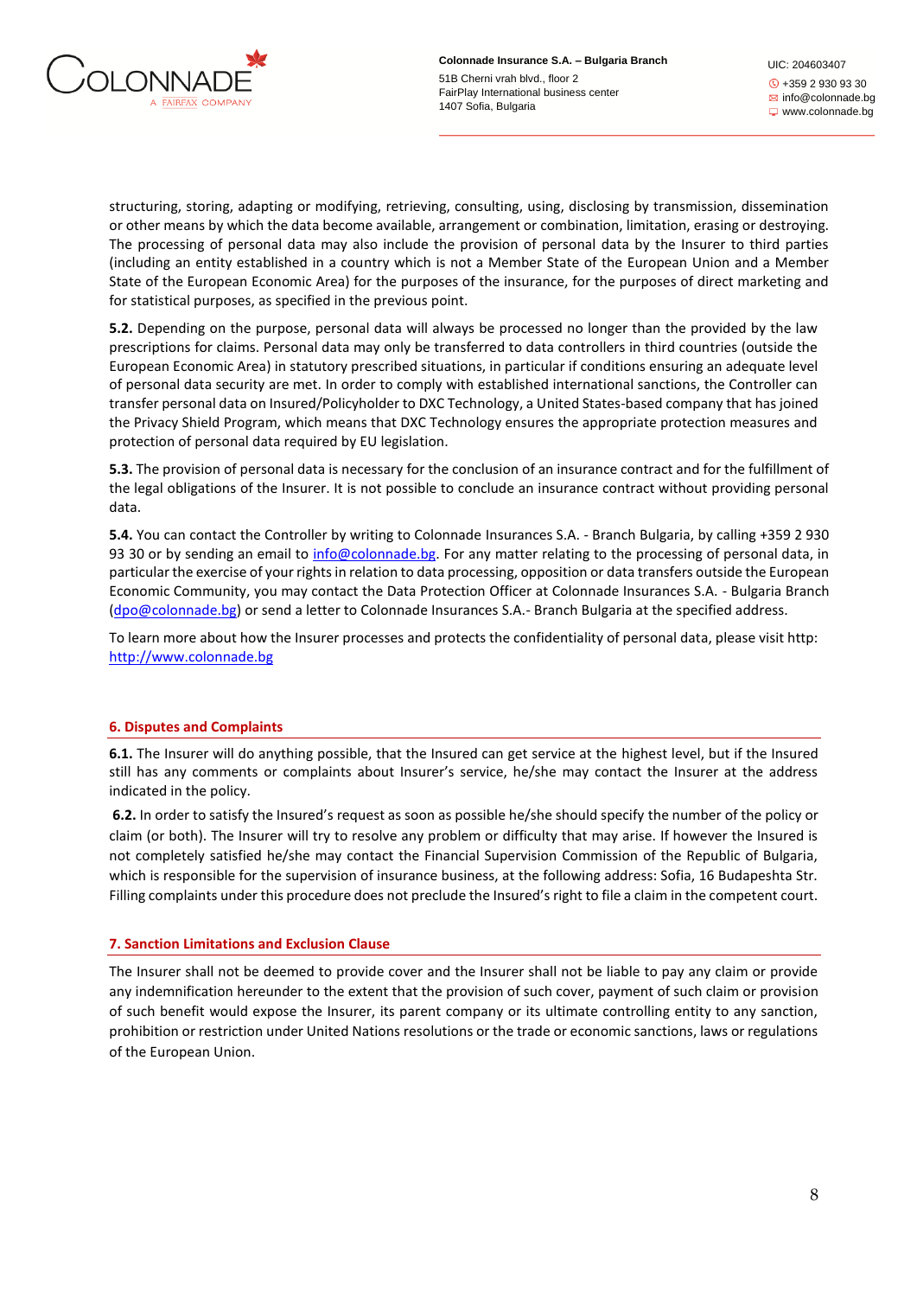

UIC: 204603407 +359 2 930 93 30 **E** info@colonnade.bg www.colonnade.bg

structuring, storing, adapting or modifying, retrieving, consulting, using, disclosing by transmission, dissemination or other means by which the data become available, arrangement or combination, limitation, erasing or destroying. The processing of personal data may also include the provision of personal data by the Insurer to third parties (including an entity established in a country which is not a Member State of the European Union and a Member State of the European Economic Area) for the purposes of the insurance, for the purposes of direct marketing and for statistical purposes, as specified in the previous point.

**5.2.** Depending on the purpose, personal data will always be processed no longer than the provided by the law prescriptions for claims. Personal data may only be transferred to data controllers in third countries (outside the European Economic Area) in statutory prescribed situations, in particular if conditions ensuring an adequate level of personal data security are met. In order to comply with established international sanctions, the Controller can transfer personal data on Insured/Policyholder to DXC Technology, a United States-based company that has joined the Privacy Shield Program, which means that DXC Technology ensures the appropriate protection measures and protection of personal data required by EU legislation.

**5.3.** The provision of personal data is necessary for the conclusion of an insurance contract and for the fulfillment of the legal obligations of the Insurer. It is not possible to conclude an insurance contract without providing personal data.

**5.4.** You can contact the Controller by writing to Colonnade Insurances S.A. - Branch Bulgaria, by calling +359 2 930 93 30 or by sending an email to info@colonnade.bg. For any matter relating to the processing of personal data, in particular the exercise of your rights in relation to data processing, opposition or data transfers outside the European Economic Community, you may contact the Data Protection Officer at Colonnade Insurances S.A. - Bulgaria Branch (dpo@colonnade.bg) or send a letter to Colonnade Insurances S.A.- Branch Bulgaria at the specified address.

To learn more about how the Insurer processes and protects the confidentiality of personal data, please visit http: http://www.colonnade.bg

# **6. Disputes and Complaints**

**6.1.** The Insurer will do anything possible, that the Insured can get service at the highest level, but if the Insured still has any comments or complaints about Insurer's service, he/she may contact the Insurer at the address indicated in the policy.

**6.2.** In order to satisfy the Insured's request as soon as possible he/she should specify the number of the policy or claim (or both). The Insurer will try to resolve any problem or difficulty that may arise. If however the Insured is not completely satisfied he/she may contact the Financial Supervision Commission of the Republic of Bulgaria, which is responsible for the supervision of insurance business, at the following address: Sofia, 16 Budapeshta Str. Filling complaints under this procedure does not preclude the Insured's right to file a claim in the competent court.

# **7. Sanction Limitations and Exclusion Clause**

The Insurer shall not be deemed to provide cover and the Insurer shall not be liable to pay any claim or provide any indemnification hereunder to the extent that the provision of such cover, payment of such claim or provision of such benefit would expose the Insurer, its parent company or its ultimate controlling entity to any sanction, prohibition or restriction under United Nations resolutions or the trade or economic sanctions, laws or regulations of the European Union.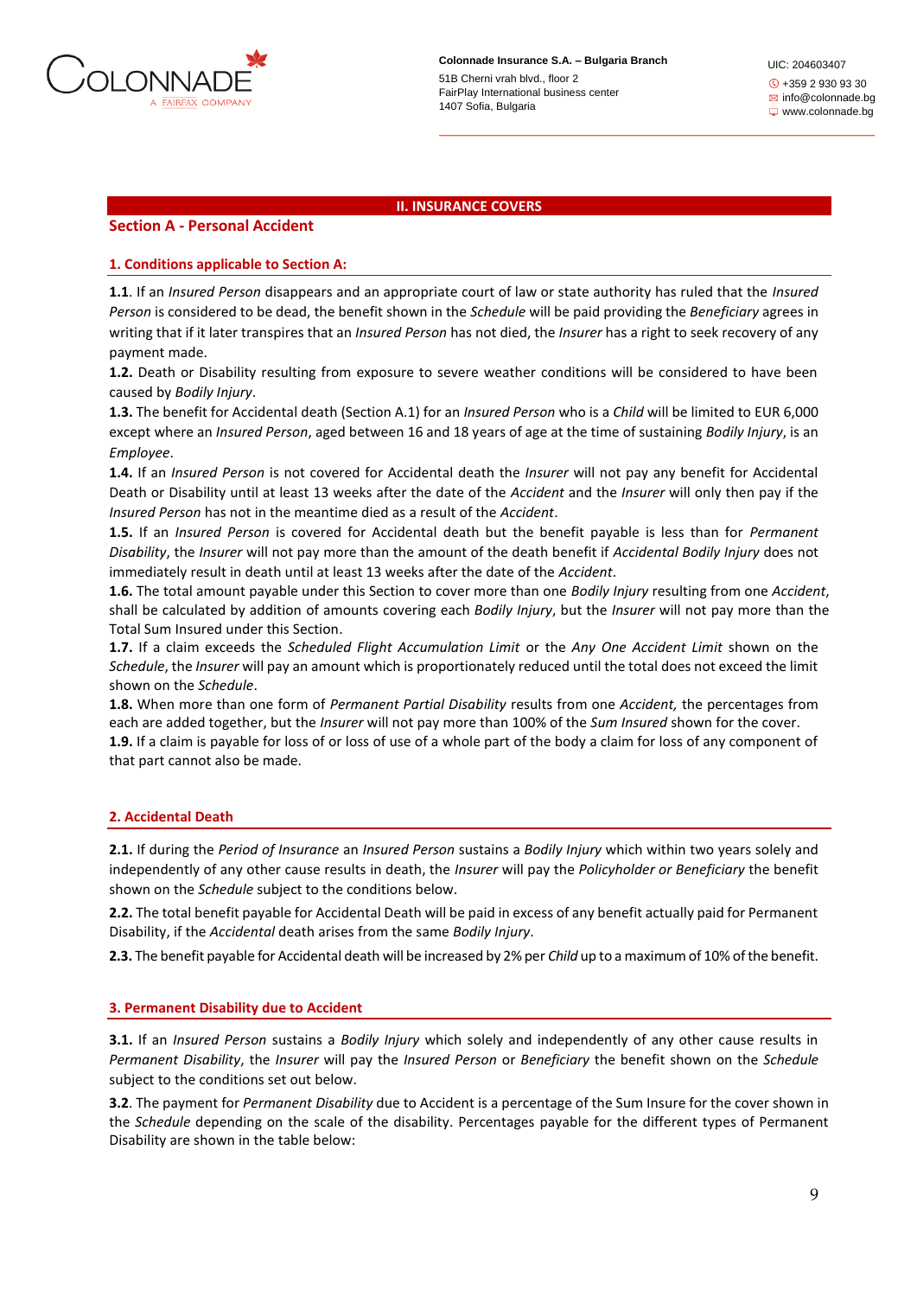

UIC: 204603407 +359 2 930 93 30  $\boxtimes$  info@colonnade.bg www.colonnade.bg

### **II. INSURANCE COVERS**

# **Section A - Personal Accident**

#### **1. Conditions applicable to Section A:**

**1.1**. If an *Insured Person* disappears and an appropriate court of law or state authority has ruled that the *Insured Person* is considered to be dead, the benefit shown in the *Schedule* will be paid providing the *Beneficiary* agrees in writing that if it later transpires that an *Insured Person* has not died, the *Insurer* has a right to seek recovery of any payment made.

**1.2.** Death or Disability resulting from exposure to severe weather conditions will be considered to have been caused by *Bodily Injury*.

**1.3.** The benefit for Accidental death (Section A.1) for an *Insured Person* who is a *Child* will be limited to EUR 6,000 except where an *Insured Person*, aged between 16 and 18 years of age at the time of sustaining *Bodily Injury*, is an *Employee*.

**1.4.** If an *Insured Person* is not covered for Accidental death the *Insurer* will not pay any benefit for Accidental Death or Disability until at least 13 weeks after the date of the *Accident* and the *Insurer* will only then pay if the *Insured Person* has not in the meantime died as a result of the *Accident*.

**1.5.** If an *Insured Person* is covered for Accidental death but the benefit payable is less than for *Permanent Disability*, the *Insurer* will not pay more than the amount of the death benefit if *Accidental Bodily Injury* does not immediately result in death until at least 13 weeks after the date of the *Accident*.

**1.6.** The total amount payable under this Section to cover more than one *Bodily Injury* resulting from one *Accident*, shall be calculated by addition of amounts covering each *Bodily Injury*, but the *Insurer* will not pay more than the Total Sum Insured under this Section.

**1.7.** If a claim exceeds the *Scheduled Flight Accumulation Limit* or the *Any One Accident Limit* shown on the *Schedule*, the *Insurer* will pay an amount which is proportionately reduced until the total does not exceed the limit shown on the *Schedule*.

**1.8.** When more than one form of *Permanent Partial Disability* results from one *Accident,* the percentages from each are added together, but the *Insurer* will not pay more than 100% of the *Sum Insured* shown for the cover. **1.9.** If a claim is payable for loss of or loss of use of a whole part of the body a claim for loss of any component of

#### **2. Accidental Death**

that part cannot also be made.

**2.1.** If during the *Period of Insurance* an *Insured Person* sustains a *Bodily Injury* which within two years solely and independently of any other cause results in death, the *Insurer* will pay the *Policyholder or Beneficiary* the benefit shown on the *Schedule* subject to the conditions below.

**2.2.** The total benefit payable for Accidental Death will be paid in excess of any benefit actually paid for Permanent Disability, if the *Accidental* death arises from the same *Bodily Injury*.

**2.3.** The benefit payable for Accidental death will be increased by 2% per *Child* up to a maximum of 10% of the benefit.

#### **3. Permanent Disability due to Accident**

**3.1.** If an *Insured Person* sustains a *Bodily Injury* which solely and independently of any other cause results in *Permanent Disability*, the *Insurer* will pay the *Insured Person* or *Beneficiary* the benefit shown on the *Schedule*  subject to the conditions set out below.

**3.2**. The payment for *Permanent Disability* due to Accident is a percentage of the Sum Insure for the cover shown in the *Schedule* depending on the scale of the disability. Percentages payable for the different types of Permanent Disability are shown in the table below: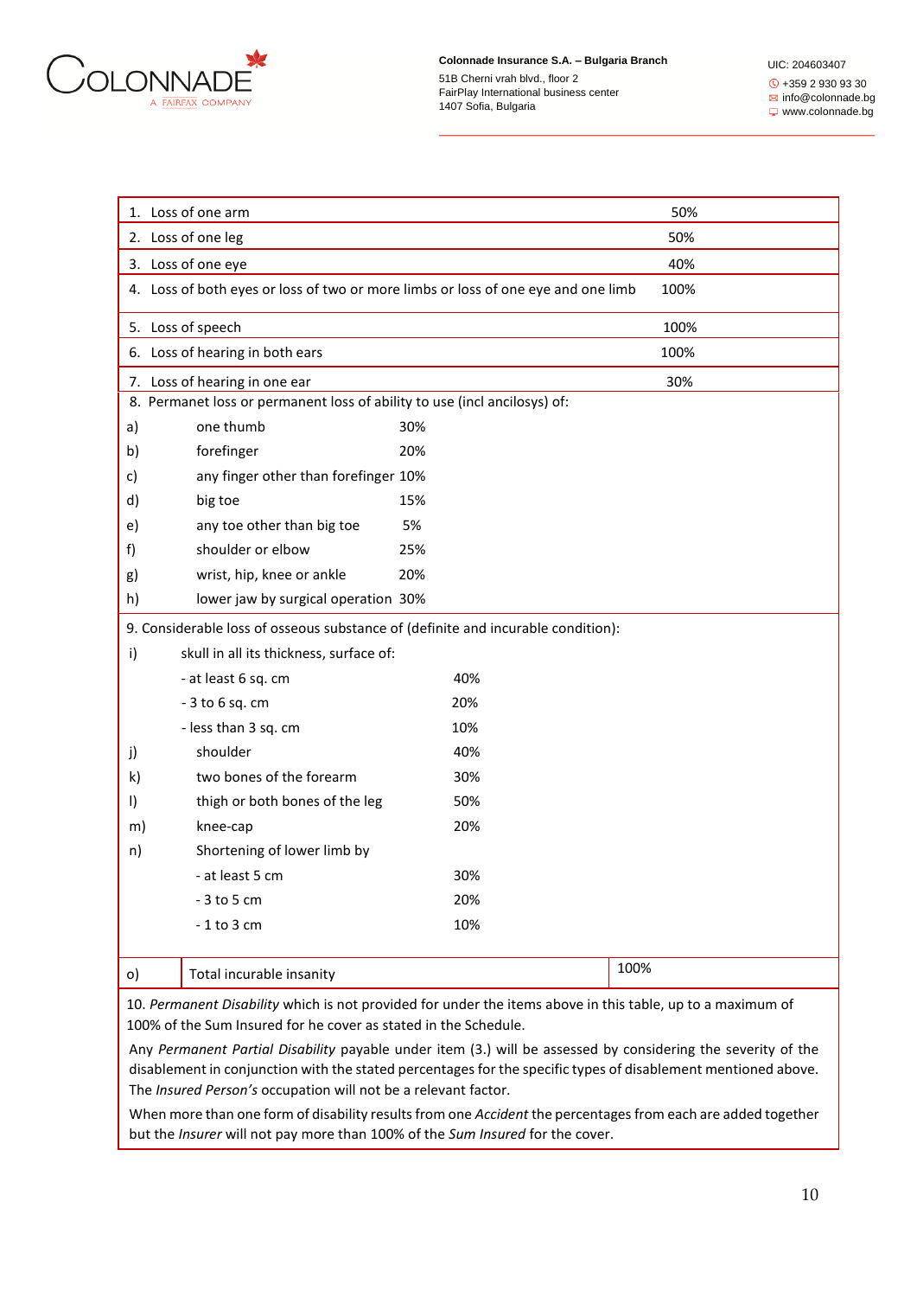

1407 Sofia, Bulgaria

UIC: 204603407 +359 2 930 93 30 **info@colonnade.bg** www.colonnade.bg

|                                                                                                            | 1. Loss of one arm<br>50%                                                 |                                                                                   |      |  |  |
|------------------------------------------------------------------------------------------------------------|---------------------------------------------------------------------------|-----------------------------------------------------------------------------------|------|--|--|
|                                                                                                            | 2. Loss of one leg                                                        | 50%                                                                               |      |  |  |
| 3. Loss of one eye                                                                                         |                                                                           | 40%                                                                               |      |  |  |
|                                                                                                            |                                                                           | 4. Loss of both eyes or loss of two or more limbs or loss of one eye and one limb | 100% |  |  |
| 5. Loss of speech                                                                                          |                                                                           |                                                                                   | 100% |  |  |
|                                                                                                            | 6. Loss of hearing in both ears                                           |                                                                                   | 100% |  |  |
|                                                                                                            | 7. Loss of hearing in one ear                                             |                                                                                   | 30%  |  |  |
|                                                                                                            | 8. Permanet loss or permanent loss of ability to use (incl ancilosys) of: |                                                                                   |      |  |  |
| a)                                                                                                         | one thumb                                                                 | 30%                                                                               |      |  |  |
| b)                                                                                                         | forefinger                                                                | 20%                                                                               |      |  |  |
| c)                                                                                                         | any finger other than forefinger 10%                                      |                                                                                   |      |  |  |
| d)                                                                                                         | big toe                                                                   | 15%                                                                               |      |  |  |
| e)                                                                                                         | any toe other than big toe                                                | 5%                                                                                |      |  |  |
| f)                                                                                                         | shoulder or elbow                                                         | 25%                                                                               |      |  |  |
| g)                                                                                                         | wrist, hip, knee or ankle                                                 | 20%                                                                               |      |  |  |
| h)                                                                                                         | lower jaw by surgical operation 30%                                       |                                                                                   |      |  |  |
|                                                                                                            |                                                                           | 9. Considerable loss of osseous substance of (definite and incurable condition):  |      |  |  |
| skull in all its thickness, surface of:<br>i)                                                              |                                                                           |                                                                                   |      |  |  |
|                                                                                                            | - at least 6 sq. cm                                                       | 40%                                                                               |      |  |  |
|                                                                                                            | $-3$ to $6$ sq. cm                                                        | 20%                                                                               |      |  |  |
|                                                                                                            | - less than 3 sq. cm                                                      | 10%                                                                               |      |  |  |
| j)                                                                                                         | shoulder                                                                  | 40%                                                                               |      |  |  |
| k)                                                                                                         | two bones of the forearm                                                  | 30%                                                                               |      |  |  |
| $\vert$                                                                                                    | thigh or both bones of the leg                                            | 50%                                                                               |      |  |  |
| m)                                                                                                         | knee-cap                                                                  | 20%                                                                               |      |  |  |
| n)                                                                                                         | Shortening of lower limb by                                               |                                                                                   |      |  |  |
|                                                                                                            | - at least 5 cm                                                           | 30%                                                                               |      |  |  |
|                                                                                                            | $-3$ to 5 cm                                                              | 20%                                                                               |      |  |  |
|                                                                                                            | $-1$ to 3 cm                                                              | 10%                                                                               |      |  |  |
|                                                                                                            |                                                                           |                                                                                   |      |  |  |
| o)                                                                                                         | Total incurable insanity                                                  |                                                                                   | 100% |  |  |
| 10. Permanent Disability which is not provided for under the items above in this table, up to a maximum of |                                                                           |                                                                                   |      |  |  |
| 100% of the Sum Insured for he cover as stated in the Schedule.                                            |                                                                           |                                                                                   |      |  |  |

Any *Permanent Partial Disability* payable under item (3.) will be assessed by considering the severity of the disablement in conjunction with the stated percentages for the specific types of disablement mentioned above. The *Insured Person's* occupation will not be a relevant factor.

When more than one form of disability results from one *Accident* the percentages from each are added together but the *Insurer* will not pay more than 100% of the *Sum Insured* for the cover.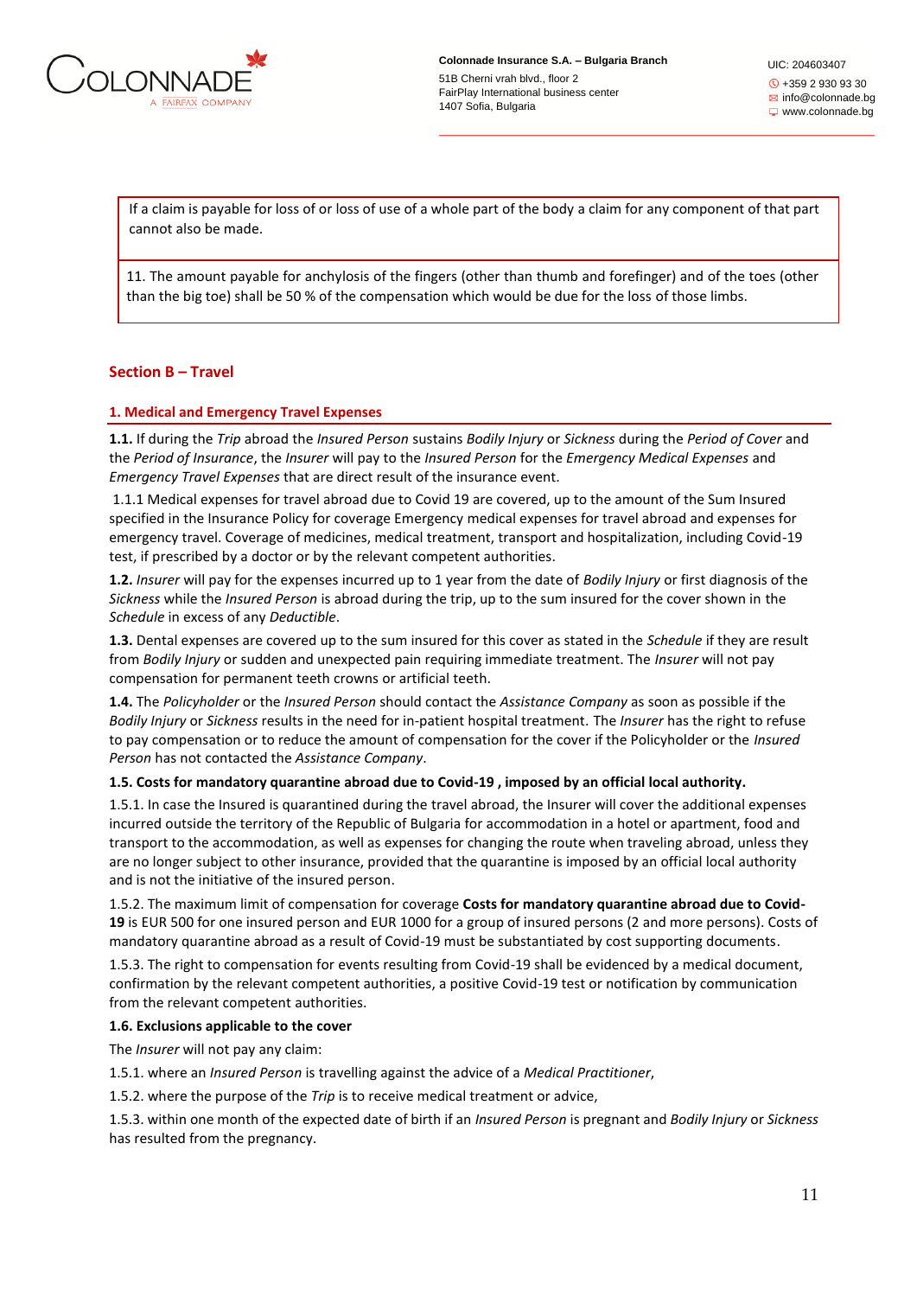

UIC: 204603407 +359 2 930 93 30  $\boxtimes$  info@colonnade.bg www.colonnade.bg

If a claim is payable for loss of or loss of use of a whole part of the body a claim for any component of that part cannot also be made.

11. The amount payable for anchylosis of the fingers (other than thumb and forefinger) and of the toes (other than the big toe) shall be 50 % of the compensation which would be due for the loss of those limbs.

# **Section B – Travel**

### **1. Medical and Emergency Travel Expenses**

**1.1.** If during the *Trip* abroad the *Insured Person* sustains *Bodily Injury* or *Sickness* during the *Period of Cover* and the *Period of Insurance*, the *Insurer* will pay to the *Insured Person* for the *Emergency Medical Expenses* and *Emergency Travel Expenses* that are direct result of the insurance event.

1.1.1 Medical expenses for travel abroad due to Covid 19 are covered, up to the amount of the Sum Insured specified in the Insurance Policy for coverage Emergency medical expenses for travel abroad and expenses for emergency travel. Coverage of medicines, medical treatment, transport and hospitalization, including Covid-19 test, if prescribed by a doctor or by the relevant competent authorities.

**1.2.** *Insurer* will pay for the expenses incurred up to 1 year from the date of *Bodily Injury* or first diagnosis of the *Sickness* while the *Insured Person* is abroad during the trip, up to the sum insured for the cover shown in the *Schedule* in excess of any *Deductible*.

**1.3.** Dental expenses are covered up to the sum insured for this cover as stated in the *Schedule* if they are result from *Bodily Injury* or sudden and unexpected pain requiring immediate treatment. The *Insurer* will not pay compensation for permanent teeth crowns or artificial teeth.

**1.4.** The *Policyholder* or the *Insured Person* should contact the *Assistance Company* as soon as possible if the *Bodily Injury* or *Sickness* results in the need for in-patient hospital treatment. The *Insurer* has the right to refuse to pay compensation or to reduce the amount of compensation for the cover if the Policyholder or the *Insured Person* has not contacted the *Assistance Company*.

#### **1.5. Costs for mandatory quarantine abroad due to Covid-19 , imposed by an official local authority.**

1.5.1. In case the Insured is quarantined during the travel abroad, the Insurer will cover the additional expenses incurred outside the territory of the Republic of Bulgaria for accommodation in a hotel or apartment, food and transport to the accommodation, as well as expenses for changing the route when traveling abroad, unless they are no longer subject to other insurance, provided that the quarantine is imposed by an official local authority and is not the initiative of the insured person.

1.5.2. The maximum limit of compensation for coverage **Costs for mandatory quarantine abroad due to Covid-19** is EUR 500 for one insured person and EUR 1000 for a group of insured persons (2 and more persons). Costs of mandatory quarantine abroad as a result of Covid-19 must be substantiated by cost supporting documents.

1.5.3. The right to compensation for events resulting from Covid-19 shall be evidenced by a medical document, confirmation by the relevant competent authorities, a positive Covid-19 test or notification by communication from the relevant competent authorities.

#### **1.6. Exclusions applicable to the cover**

The *Insurer* will not pay any claim:

1.5.1. where an *Insured Person* is travelling against the advice of a *Medical Practitioner*,

1.5.2. where the purpose of the *Trip* is to receive medical treatment or advice,

1.5.3. within one month of the expected date of birth if an *Insured Person* is pregnant and *Bodily Injury* or *Sickness* has resulted from the pregnancy.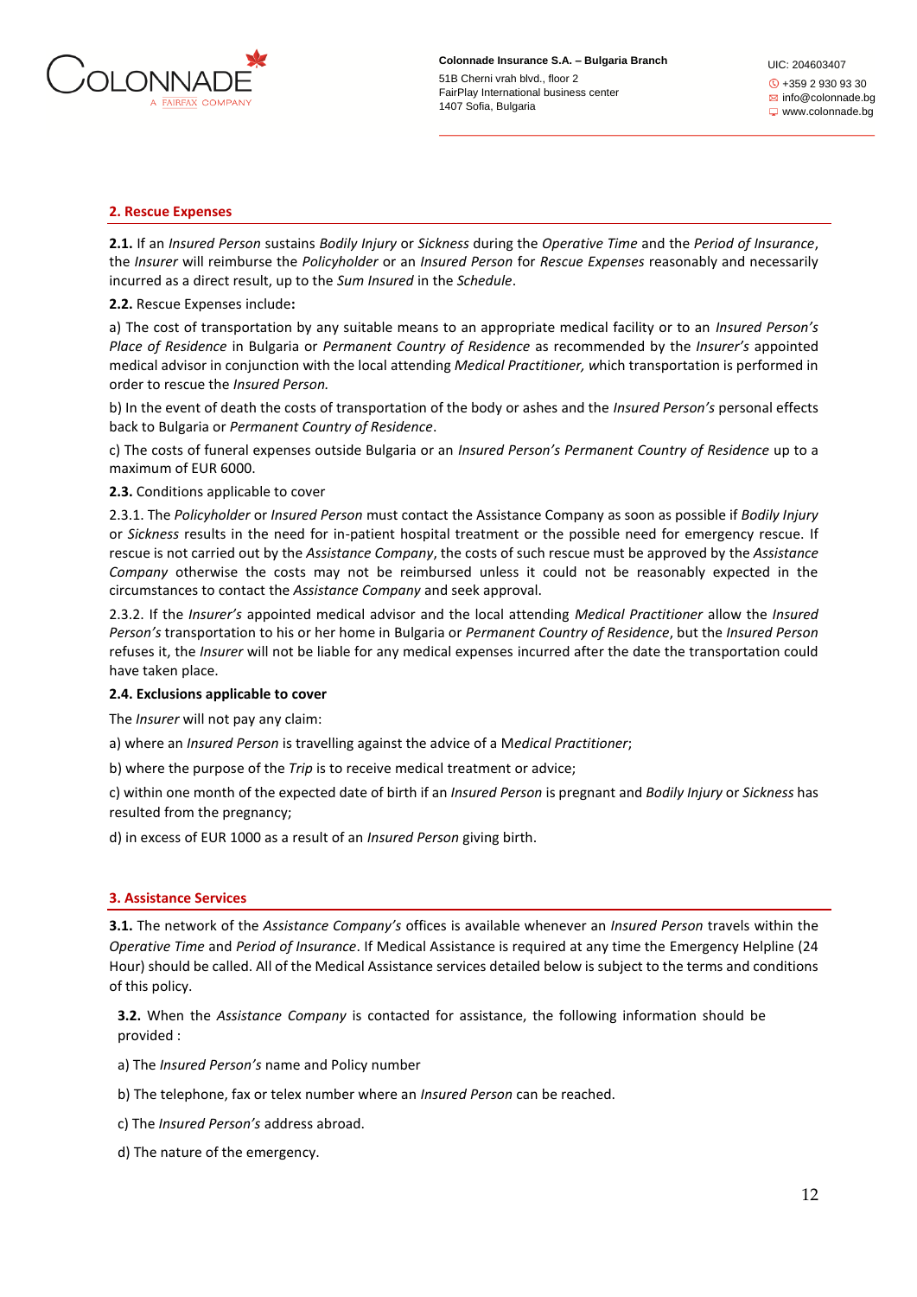

UIC: 204603407 +359 2 930 93 30  $\boxtimes$  info@colonnade.bg www.colonnade.bg

### **2. Rescue Expenses**

**2.1.** If an *Insured Person* sustains *Bodily Injury* or *Sickness* during the *Operative Time* and the *Period of Insurance*, the *Insurer* will reimburse the *Policyholder* or an *Insured Person* for *Rescue Expenses* reasonably and necessarily incurred as a direct result, up to the *Sum Insured* in the *Schedule*.

### **2.2.** Rescue Expenses include**:**

a) The cost of transportation by any suitable means to an appropriate medical facility or to an *Insured Person's Place of Residence* in Bulgaria or *Permanent Country of Residence* as recommended by the *Insurer's* appointed medical advisor in conjunction with the local attending *Medical Practitioner, w*hich transportation is performed in order to rescue the *Insured Person.*

b) In the event of death the costs of transportation of the body or ashes and the *Insured Person's* personal effects back to Bulgaria or *Permanent Country of Residence*.

c) The costs of funeral expenses outside Bulgaria or an *Insured Person's Permanent Country of Residence* up to a maximum of EUR 6000.

#### **2.3.** Conditions applicable to cover

2.3.1. The *Policyholder* or *Insured Person* must contact the Assistance Company as soon as possible if *Bodily Injury*  or *Sickness* results in the need for in-patient hospital treatment or the possible need for emergency rescue. If rescue is not carried out by the *Assistance Company*, the costs of such rescue must be approved by the *Assistance Company* otherwise the costs may not be reimbursed unless it could not be reasonably expected in the circumstances to contact the *Assistance Company* and seek approval.

2.3.2. If the *Insurer's* appointed medical advisor and the local attending *Medical Practitioner* allow the *Insured Person's* transportation to his or her home in Bulgaria or *Permanent Country of Residence*, but the *Insured Person*  refuses it, the *Insurer* will not be liable for any medical expenses incurred after the date the transportation could have taken place.

#### **2.4. Exclusions applicable to cover**

The *Insurer* will not pay any claim:

a) where an *Insured Person* is travelling against the advice of a M*edical Practitioner*;

b) where the purpose of the *Trip* is to receive medical treatment or advice;

c) within one month of the expected date of birth if an *Insured Person* is pregnant and *Bodily Injury* or *Sickness* has resulted from the pregnancy;

d) in excess of EUR 1000 as a result of an *Insured Person* giving birth.

# **3. Assistance Services**

**3.1.** The network of the *Assistance Company's* offices is available whenever an *Insured Person* travels within the *Operative Time* and *Period of Insurance*. If Medical Assistance is required at any time the Emergency Helpline (24 Hour) should be called. All of the Medical Assistance services detailed below is subject to the terms and conditions of this policy.

**3.2.** When the *Assistance Company* is contacted for assistance, the following information should be provided :

a) The *Insured Person's* name and Policy number

b) The telephone, fax or telex number where an *Insured Person* can be reached.

c) The *Insured Person's* address abroad.

d) The nature of the emergency.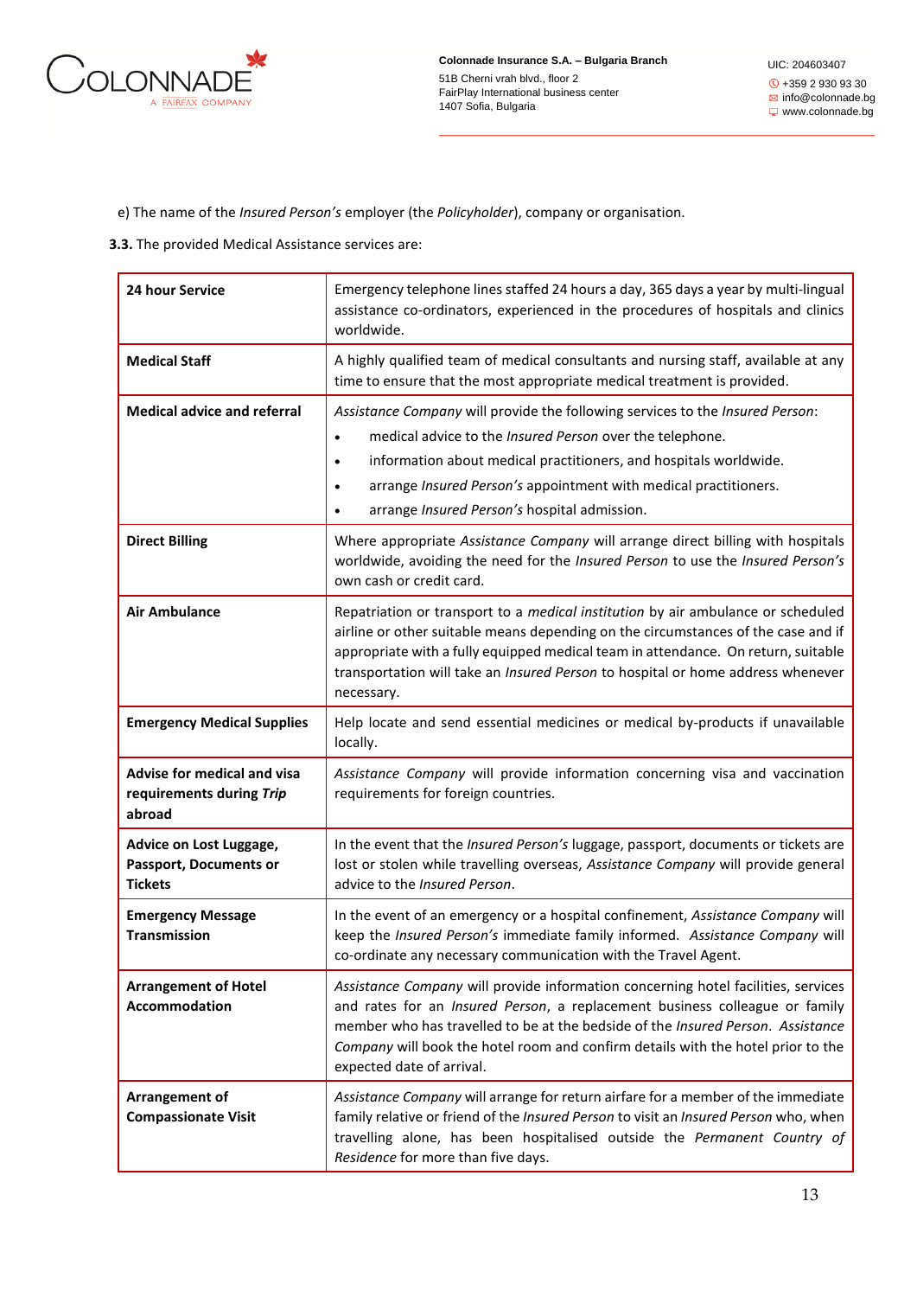

UIC: 204603407 +359 2 930 93 30  $\boxtimes$  info@colonnade.bg www.colonnade.bg

e) The name of the *Insured Person's* employer (the *Policyholder*), company or organisation.

**3.3.** The provided Medical Assistance services are:

| 24 hour Service                                                            | Emergency telephone lines staffed 24 hours a day, 365 days a year by multi-lingual<br>assistance co-ordinators, experienced in the procedures of hospitals and clinics<br>worldwide.                                                                                                                                                                                                   |
|----------------------------------------------------------------------------|----------------------------------------------------------------------------------------------------------------------------------------------------------------------------------------------------------------------------------------------------------------------------------------------------------------------------------------------------------------------------------------|
| <b>Medical Staff</b>                                                       | A highly qualified team of medical consultants and nursing staff, available at any<br>time to ensure that the most appropriate medical treatment is provided.                                                                                                                                                                                                                          |
| <b>Medical advice and referral</b>                                         | Assistance Company will provide the following services to the Insured Person:<br>medical advice to the Insured Person over the telephone.<br>$\bullet$<br>information about medical practitioners, and hospitals worldwide.<br>$\bullet$<br>arrange Insured Person's appointment with medical practitioners.<br>$\bullet$<br>arrange Insured Person's hospital admission.<br>$\bullet$ |
| <b>Direct Billing</b>                                                      | Where appropriate Assistance Company will arrange direct billing with hospitals<br>worldwide, avoiding the need for the Insured Person to use the Insured Person's<br>own cash or credit card.                                                                                                                                                                                         |
| <b>Air Ambulance</b>                                                       | Repatriation or transport to a <i>medical institution</i> by air ambulance or scheduled<br>airline or other suitable means depending on the circumstances of the case and if<br>appropriate with a fully equipped medical team in attendance. On return, suitable<br>transportation will take an Insured Person to hospital or home address whenever<br>necessary.                     |
| <b>Emergency Medical Supplies</b>                                          | Help locate and send essential medicines or medical by-products if unavailable<br>locally.                                                                                                                                                                                                                                                                                             |
| <b>Advise for medical and visa</b><br>requirements during Trip<br>abroad   | Assistance Company will provide information concerning visa and vaccination<br>requirements for foreign countries.                                                                                                                                                                                                                                                                     |
| Advice on Lost Luggage,<br><b>Passport, Documents or</b><br><b>Tickets</b> | In the event that the Insured Person's luggage, passport, documents or tickets are<br>lost or stolen while travelling overseas, Assistance Company will provide general<br>advice to the Insured Person.                                                                                                                                                                               |
| <b>Emergency Message</b><br><b>Transmission</b>                            | In the event of an emergency or a hospital confinement, Assistance Company will<br>keep the Insured Person's immediate family informed. Assistance Company will<br>co-ordinate any necessary communication with the Travel Agent.                                                                                                                                                      |
| <b>Arrangement of Hotel</b><br><b>Accommodation</b>                        | Assistance Company will provide information concerning hotel facilities, services<br>and rates for an Insured Person, a replacement business colleague or family<br>member who has travelled to be at the bedside of the Insured Person. Assistance<br>Company will book the hotel room and confirm details with the hotel prior to the<br>expected date of arrival.                   |
| Arrangement of<br><b>Compassionate Visit</b>                               | Assistance Company will arrange for return airfare for a member of the immediate<br>family relative or friend of the Insured Person to visit an Insured Person who, when<br>travelling alone, has been hospitalised outside the Permanent Country of<br>Residence for more than five days.                                                                                             |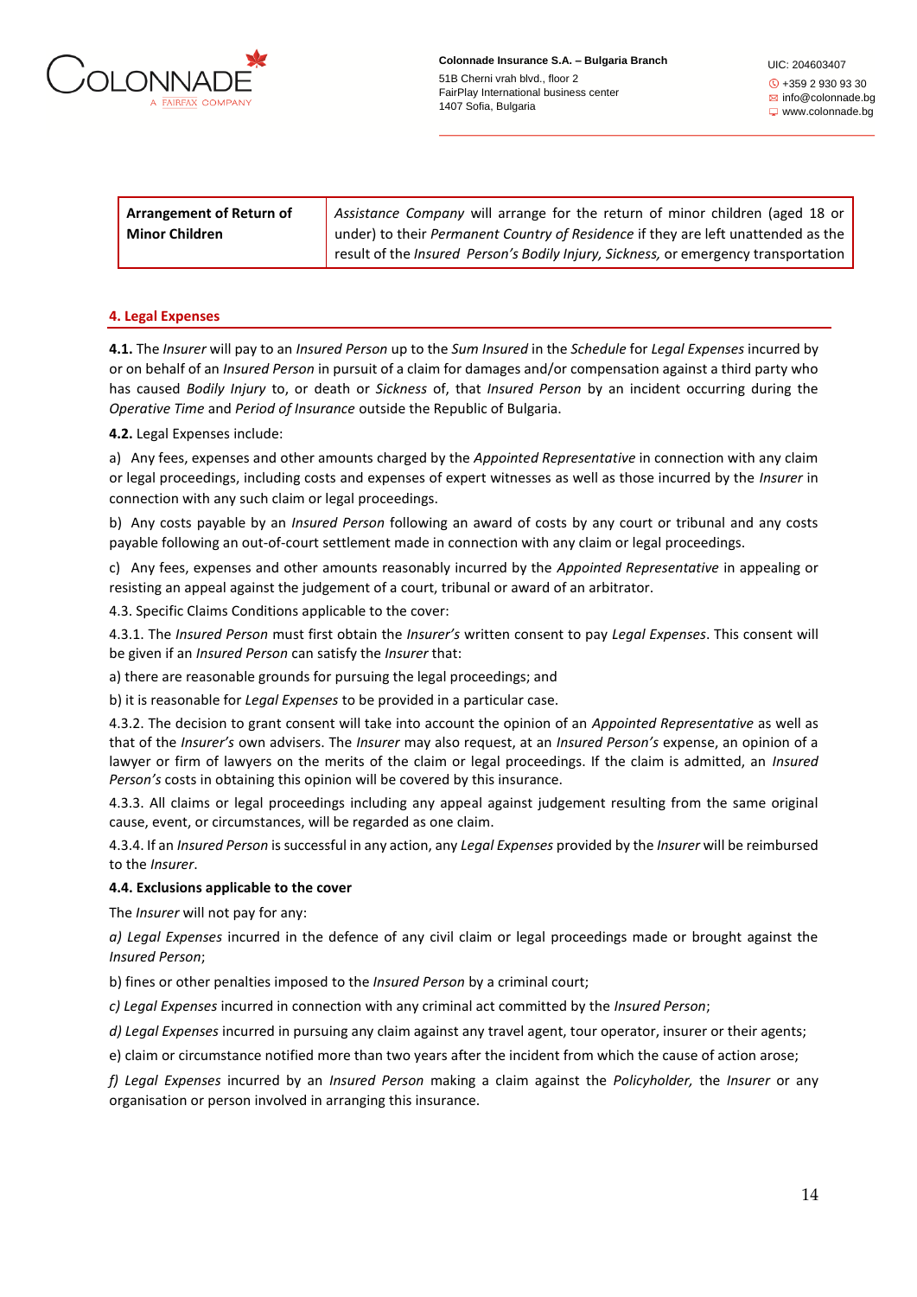

UIC: 204603407 +359 2 930 93 30  $\boxtimes$  info@colonnade.bg www.colonnade.bg

| <b>Arrangement of Return of</b> | Assistance Company will arrange for the return of minor children (aged 18 or        |  |
|---------------------------------|-------------------------------------------------------------------------------------|--|
| <b>Minor Children</b>           | under) to their Permanent Country of Residence if they are left unattended as the   |  |
|                                 | result of the Insured Person's Bodily Injury, Sickness, or emergency transportation |  |

#### **4. Legal Expenses**

**4.1.** The *Insurer* will pay to an *Insured Person* up to the *Sum Insured* in the *Schedule* for *Legal Expenses* incurred by or on behalf of an *Insured Person* in pursuit of a claim for damages and/or compensation against a third party who has caused *Bodily Injury* to, or death or *Sickness* of, that *Insured Person* by an incident occurring during the *Operative Time* and *Period of Insurance* outside the Republic of Bulgaria.

**4.2.** Legal Expenses include:

a) Any fees, expenses and other amounts charged by the *Appointed Representative* in connection with any claim or legal proceedings, including costs and expenses of expert witnesses as well as those incurred by the *Insurer* in connection with any such claim or legal proceedings.

b) Any costs payable by an *Insured Person* following an award of costs by any court or tribunal and any costs payable following an out-of-court settlement made in connection with any claim or legal proceedings.

c) Any fees, expenses and other amounts reasonably incurred by the *Appointed Representative* in appealing or resisting an appeal against the judgement of a court, tribunal or award of an arbitrator.

4.3. Specific Claims Conditions applicable to the cover:

4.3.1. The *Insured Person* must first obtain the *Insurer's* written consent to pay *Legal Expenses*. This consent will be given if an *Insured Person* can satisfy the *Insurer* that:

a) there are reasonable grounds for pursuing the legal proceedings; and

b) it is reasonable for *Legal Expenses* to be provided in a particular case.

4.3.2. The decision to grant consent will take into account the opinion of an *Appointed Representative* as well as that of the *Insurer's* own advisers. The *Insurer* may also request, at an *Insured Person's* expense, an opinion of a lawyer or firm of lawyers on the merits of the claim or legal proceedings. If the claim is admitted, an *Insured Person's* costs in obtaining this opinion will be covered by this insurance.

4.3.3. All claims or legal proceedings including any appeal against judgement resulting from the same original cause, event, or circumstances, will be regarded as one claim.

4.3.4. If an *Insured Person* is successful in any action, any *Legal Expenses* provided by the *Insurer* will be reimbursed to the *Insurer*.

### **4.4. Exclusions applicable to the cover**

The *Insurer* will not pay for any:

*a) Legal Expenses* incurred in the defence of any civil claim or legal proceedings made or brought against the *Insured Person*;

b) fines or other penalties imposed to the *Insured Person* by a criminal court;

*c) Legal Expenses* incurred in connection with any criminal act committed by the *Insured Person*;

*d) Legal Expenses* incurred in pursuing any claim against any travel agent, tour operator, insurer or their agents;

e) claim or circumstance notified more than two years after the incident from which the cause of action arose;

*f) Legal Expenses* incurred by an *Insured Person* making a claim against the *Policyholder,* the *Insurer* or any organisation or person involved in arranging this insurance.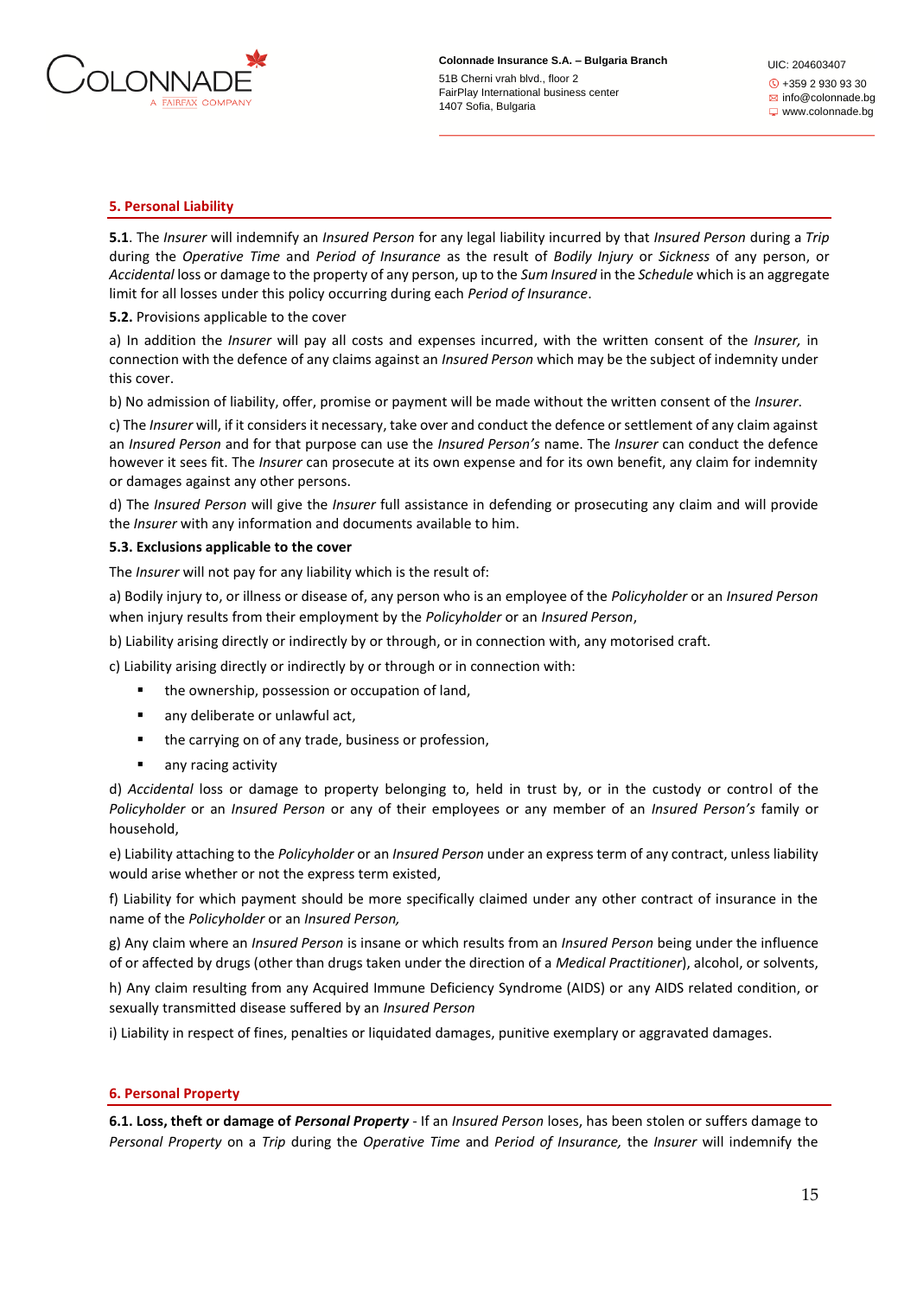

UIC: 204603407 +359 2 930 93 30  $\boxtimes$  info@colonnade.bg www.colonnade.bg

### **5. Personal Liability**

**5.1**. The *Insurer* will indemnify an *Insured Person* for any legal liability incurred by that *Insured Person* during a *Trip* during the *Operative Time* and *Period of Insurance* as the result of *Bodily Injury* or *Sickness* of any person, or *Accidental* loss or damage to the property of any person, up to the *Sum Insured* in the *Schedule* which is an aggregate limit for all losses under this policy occurring during each *Period of Insurance*.

### **5.2.** Provisions applicable to the cover

a) In addition the *Insurer* will pay all costs and expenses incurred, with the written consent of the *Insurer,* in connection with the defence of any claims against an *Insured Person* which may be the subject of indemnity under this cover.

b) No admission of liability, offer, promise or payment will be made without the written consent of the *Insurer*.

c) The *Insurer* will, if it considers it necessary, take over and conduct the defence or settlement of any claim against an *Insured Person* and for that purpose can use the *Insured Person's* name. The *Insurer* can conduct the defence however it sees fit. The *Insurer* can prosecute at its own expense and for its own benefit, any claim for indemnity or damages against any other persons.

d) The *Insured Person* will give the *Insurer* full assistance in defending or prosecuting any claim and will provide the *Insurer* with any information and documents available to him.

#### **5.3. Exclusions applicable to the cover**

The *Insurer* will not pay for any liability which is the result of:

a) Bodily injury to, or illness or disease of, any person who is an employee of the *Policyholder* or an *Insured Person* when injury results from their employment by the *Policyholder* or an *Insured Person*,

b) Liability arising directly or indirectly by or through, or in connection with, any motorised craft.

c) Liability arising directly or indirectly by or through or in connection with:

- the ownership, possession or occupation of land,
- any deliberate or unlawful act,
- the carrying on of any trade, business or profession,
- any racing activity

d) *Accidental* loss or damage to property belonging to, held in trust by, or in the custody or control of the *Policyholder* or an *Insured Person* or any of their employees or any member of an *Insured Person's* family or household,

e) Liability attaching to the *Policyholder* or an *Insured Person* under an express term of any contract, unless liability would arise whether or not the express term existed,

f) Liability for which payment should be more specifically claimed under any other contract of insurance in the name of the *Policyholder* or an *Insured Person,*

g) Any claim where an *Insured Person* is insane or which results from an *Insured Person* being under the influence of or affected by drugs (other than drugs taken under the direction of a *Medical Practitioner*), alcohol, or solvents,

h) Any claim resulting from any Acquired Immune Deficiency Syndrome (AIDS) or any AIDS related condition, or sexually transmitted disease suffered by an *Insured Person* 

i) Liability in respect of fines, penalties or liquidated damages, punitive exemplary or aggravated damages.

#### **6. Personal Property**

**6.1. Loss, theft or damage of** *Personal Property* - If an *Insured Person* loses, has been stolen or suffers damage to *Personal Property* on a *Trip* during the *Operative Time* and *Period of Insurance,* the *Insurer* will indemnify the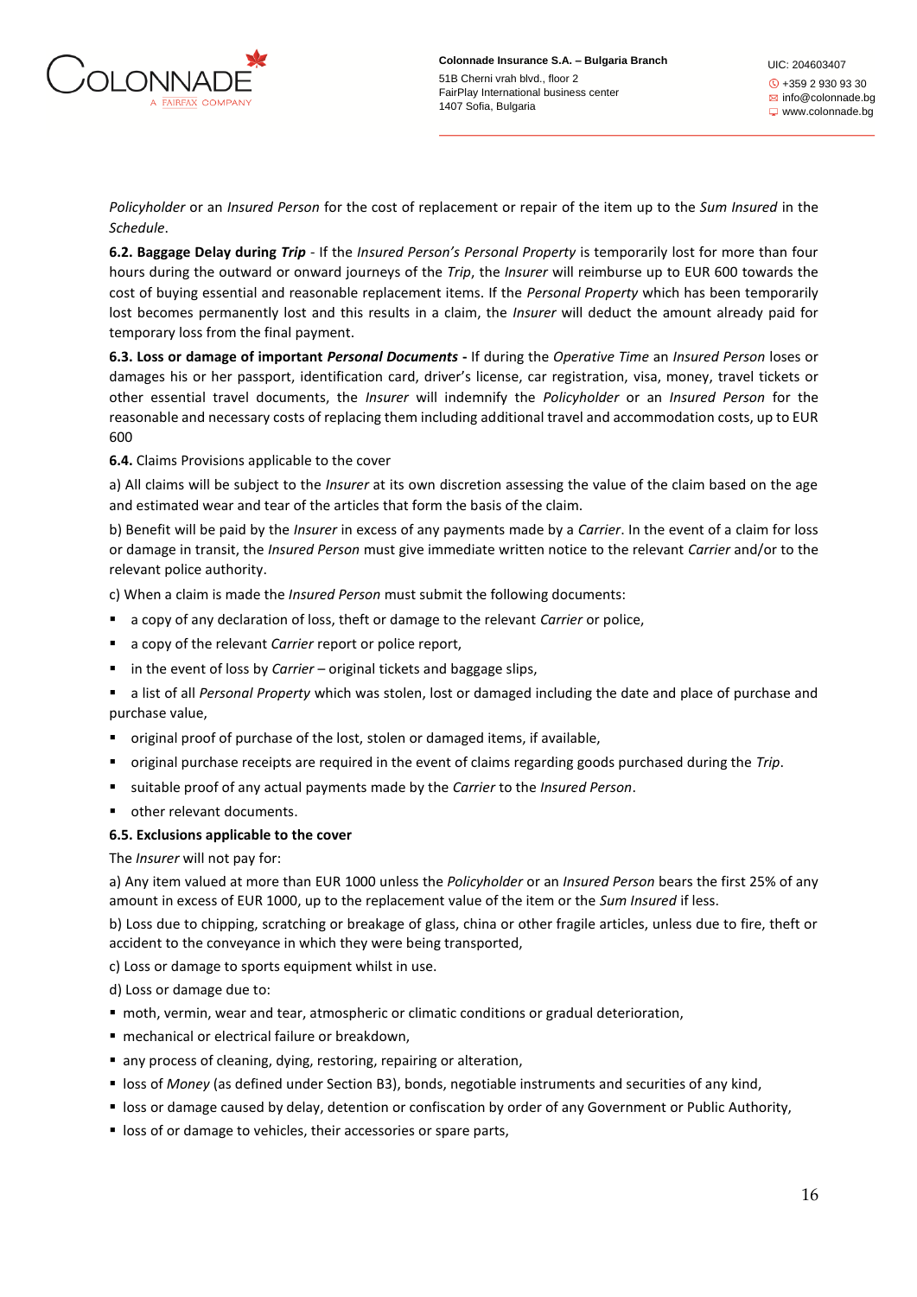

*Policyholder* or an *Insured Person* for the cost of replacement or repair of the item up to the *Sum Insured* in the *Schedule*.

**6.2. Baggage Delay during** *Trip* - If the *Insured Person's Personal Property* is temporarily lost for more than four hours during the outward or onward journeys of the *Trip*, the *Insurer* will reimburse up to EUR 600 towards the cost of buying essential and reasonable replacement items. If the *Personal Property* which has been temporarily lost becomes permanently lost and this results in a claim, the *Insurer* will deduct the amount already paid for temporary loss from the final payment.

**6.3. Loss or damage of important** *Personal Documents* **-** If during the *Operative Time* an *Insured Person* loses or damages his or her passport, identification card, driver's license, car registration, visa, money, travel tickets or other essential travel documents, the *Insurer* will indemnify the *Policyholder* or an *Insured Person* for the reasonable and necessary costs of replacing them including additional travel and accommodation costs, up to EUR 600

**6.4.** Claims Provisions applicable to the cover

a) All claims will be subject to the *Insurer* at its own discretion assessing the value of the claim based on the age and estimated wear and tear of the articles that form the basis of the claim.

b) Benefit will be paid by the *Insurer* in excess of any payments made by a *Carrier*. In the event of a claim for loss or damage in transit, the *Insured Person* must give immediate written notice to the relevant *Carrier* and/or to the relevant police authority.

c) When a claim is made the *Insured Person* must submit the following documents:

- a copy of any declaration of loss, theft or damage to the relevant *Carrier* or police,
- a copy of the relevant *Carrier* report or police report,
- in the event of loss by *Carrier* original tickets and baggage slips,
- a list of all *Personal Property* which was stolen, lost or damaged including the date and place of purchase and purchase value,
- original proof of purchase of the lost, stolen or damaged items, if available,
- original purchase receipts are required in the event of claims regarding goods purchased during the *Trip*.
- suitable proof of any actual payments made by the *Carrier* to the *Insured Person*.
- other relevant documents.

# **6.5. Exclusions applicable to the cover**

# The *Insurer* will not pay for:

a) Any item valued at more than EUR 1000 unless the *Policyholder* or an *Insured Person* bears the first 25% of any amount in excess of EUR 1000, up to the replacement value of the item or the *Sum Insured* if less.

b) Loss due to chipping, scratching or breakage of glass, china or other fragile articles, unless due to fire, theft or accident to the conveyance in which they were being transported,

c) Loss or damage to sports equipment whilst in use.

d) Loss or damage due to:

- moth, vermin, wear and tear, atmospheric or climatic conditions or gradual deterioration,
- mechanical or electrical failure or breakdown,
- any process of cleaning, dying, restoring, repairing or alteration,
- **EXECT:** loss of *Money* (as defined under Section B3), bonds, negotiable instruments and securities of any kind,
- loss or damage caused by delay, detention or confiscation by order of any Government or Public Authority,
- **EX loss of or damage to vehicles, their accessories or spare parts,**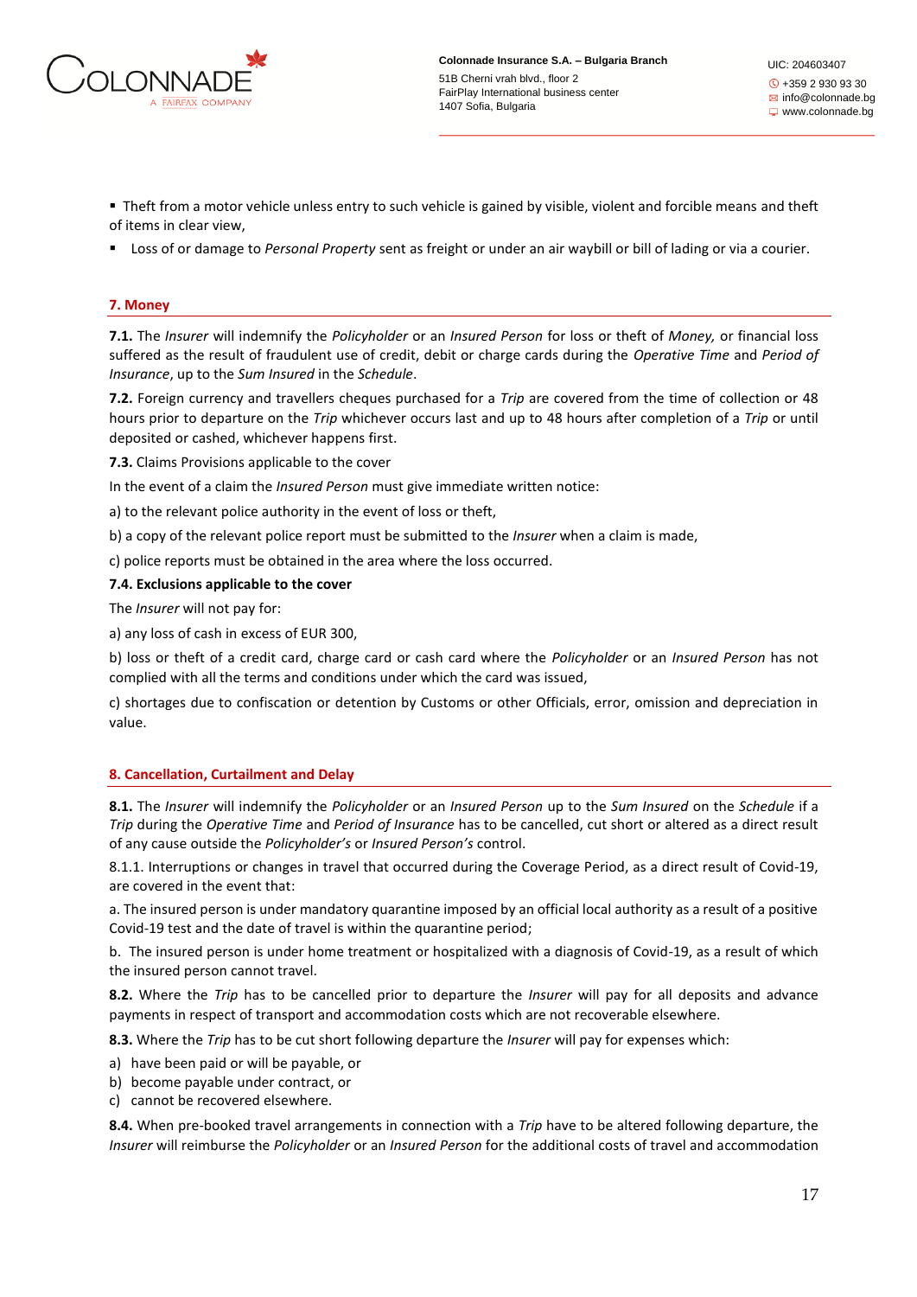

■ Theft from a motor vehicle unless entry to such vehicle is gained by visible, violent and forcible means and theft of items in clear view,

▪ Loss of or damage to *Personal Property* sent as freight or under an air waybill or bill of lading or via a courier.

### **7. Money**

**7.1.** The *Insurer* will indemnify the *Policyholder* or an *Insured Person* for loss or theft of *Money,* or financial loss suffered as the result of fraudulent use of credit, debit or charge cards during the *Operative Time* and *Period of Insurance*, up to the *Sum Insured* in the *Schedule*.

**7.2.** Foreign currency and travellers cheques purchased for a *Trip* are covered from the time of collection or 48 hours prior to departure on the *Trip* whichever occurs last and up to 48 hours after completion of a *Trip* or until deposited or cashed, whichever happens first.

**7.3.** Claims Provisions applicable to the cover

In the event of a claim the *Insured Person* must give immediate written notice:

a) to the relevant police authority in the event of loss or theft,

b) a copy of the relevant police report must be submitted to the *Insurer* when a claim is made,

c) police reports must be obtained in the area where the loss occurred.

### **7.4. Exclusions applicable to the cover**

The *Insurer* will not pay for:

a) any loss of cash in excess of EUR 300,

b) loss or theft of a credit card, charge card or cash card where the *Policyholder* or an *Insured Person* has not complied with all the terms and conditions under which the card was issued,

c) shortages due to confiscation or detention by Customs or other Officials, error, omission and depreciation in value.

# **8. Cancellation, Curtailment and Delay**

**8.1.** The *Insurer* will indemnify the *Policyholder* or an *Insured Person* up to the *Sum Insured* on the *Schedule* if a *Trip* during the *Operative Time* and *Period of Insurance* has to be cancelled, cut short or altered as a direct result of any cause outside the *Policyholder's* or *Insured Person's* control.

8.1.1. Interruptions or changes in travel that occurred during the Coverage Period, as a direct result of Covid-19, are covered in the event that:

а. The insured person is under mandatory quarantine imposed by an official local authority as a result of a positive Covid-19 test and the date of travel is within the quarantine period;

b. The insured person is under home treatment or hospitalized with a diagnosis of Covid-19, as a result of which the insured person cannot travel.

**8.2.** Where the *Trip* has to be cancelled prior to departure the *Insurer* will pay for all deposits and advance payments in respect of transport and accommodation costs which are not recoverable elsewhere.

**8.3.** Where the *Trip* has to be cut short following departure the *Insurer* will pay for expenses which:

- a) have been paid or will be payable, or
- b) become payable under contract, or
- c) cannot be recovered elsewhere.

**8.4.** When pre-booked travel arrangements in connection with a *Trip* have to be altered following departure, the *Insurer* will reimburse the *Policyholder* or an *Insured Person* for the additional costs of travel and accommodation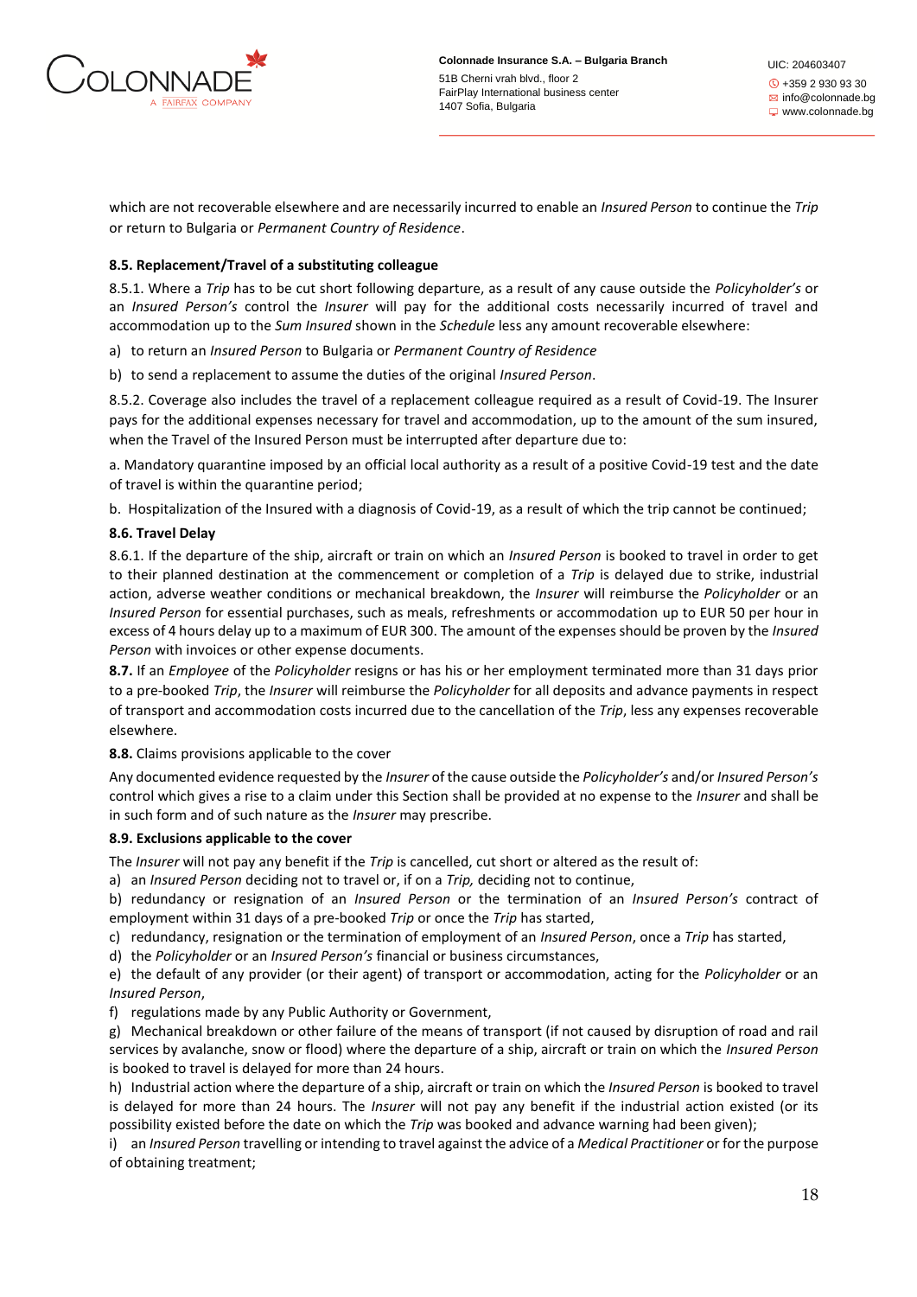

which are not recoverable elsewhere and are necessarily incurred to enable an *Insured Person* to continue the *Trip* or return to Bulgaria or *Permanent Country of Residence*.

# **8.5. Replacement/Travel of a substituting colleague**

8.5.1. Where a *Trip* has to be cut short following departure, as a result of any cause outside the *Policyholder's* or an *Insured Person's* control the *Insurer* will pay for the additional costs necessarily incurred of travel and accommodation up to the *Sum Insured* shown in the *Schedule* less any amount recoverable elsewhere:

a) to return an *Insured Person* to Bulgaria or *Permanent Country of Residence* 

b) to send a replacement to assume the duties of the original *Insured Person*.

8.5.2. Coverage also includes the travel of a replacement colleague required as a result of Covid-19. The Insurer pays for the additional expenses necessary for travel and accommodation, up to the amount of the sum insured, when the Travel of the Insured Person must be interrupted after departure due to:

а. Mandatory quarantine imposed by an official local authority as a result of a positive Covid-19 test and the date of travel is within the quarantine period;

b. Hospitalization of the Insured with a diagnosis of Covid-19, as a result of which the trip cannot be continued;

# **8.6. Travel Delay**

8.6.1. If the departure of the ship, aircraft or train on which an *Insured Person* is booked to travel in order to get to their planned destination at the commencement or completion of a *Trip* is delayed due to strike, industrial action, adverse weather conditions or mechanical breakdown, the *Insurer* will reimburse the *Policyholder* or an *Insured Person* for essential purchases, such as meals, refreshments or accommodation up to EUR 50 per hour in excess of 4 hours delay up to a maximum of EUR 300. The amount of the expenses should be proven by the *Insured Person* with invoices or other expense documents.

**8.7.** If an *Employee* of the *Policyholder* resigns or has his or her employment terminated more than 31 days prior to a pre-booked *Trip*, the *Insurer* will reimburse the *Policyholder* for all deposits and advance payments in respect of transport and accommodation costs incurred due to the cancellation of the *Trip*, less any expenses recoverable elsewhere.

**8.8.** Claims provisions applicable to the cover

Any documented evidence requested by the *Insurer* of the cause outside the *Policyholder's* and/or *Insured Person's* control which gives a rise to a claim under this Section shall be provided at no expense to the *Insurer* and shall be in such form and of such nature as the *Insurer* may prescribe.

# **8.9. Exclusions applicable to the cover**

The *Insurer* will not pay any benefit if the *Trip* is cancelled, cut short or altered as the result of:

a) an *Insured Person* deciding not to travel or, if on a *Trip,* deciding not to continue,

b) redundancy or resignation of an *Insured Person* or the termination of an *Insured Person's* contract of employment within 31 days of a pre-booked *Trip* or once the *Trip* has started,

c) redundancy, resignation or the termination of employment of an *Insured Person*, once a *Trip* has started,

d) the *Policyholder* or an *Insured Person's* financial or business circumstances,

e) the default of any provider (or their agent) of transport or accommodation, acting for the *Policyholder* or an *Insured Person*,

f) regulations made by any Public Authority or Government,

g) Mechanical breakdown or other failure of the means of transport (if not caused by disruption of road and rail services by avalanche, snow or flood) where the departure of a ship, aircraft or train on which the *Insured Person* is booked to travel is delayed for more than 24 hours.

h) Industrial action where the departure of a ship, aircraft or train on which the *Insured Person* is booked to travel is delayed for more than 24 hours. The *Insurer* will not pay any benefit if the industrial action existed (or its possibility existed before the date on which the *Trip* was booked and advance warning had been given);

i) an *Insured Person* travelling or intending to travel against the advice of a *Medical Practitioner* or for the purpose of obtaining treatment;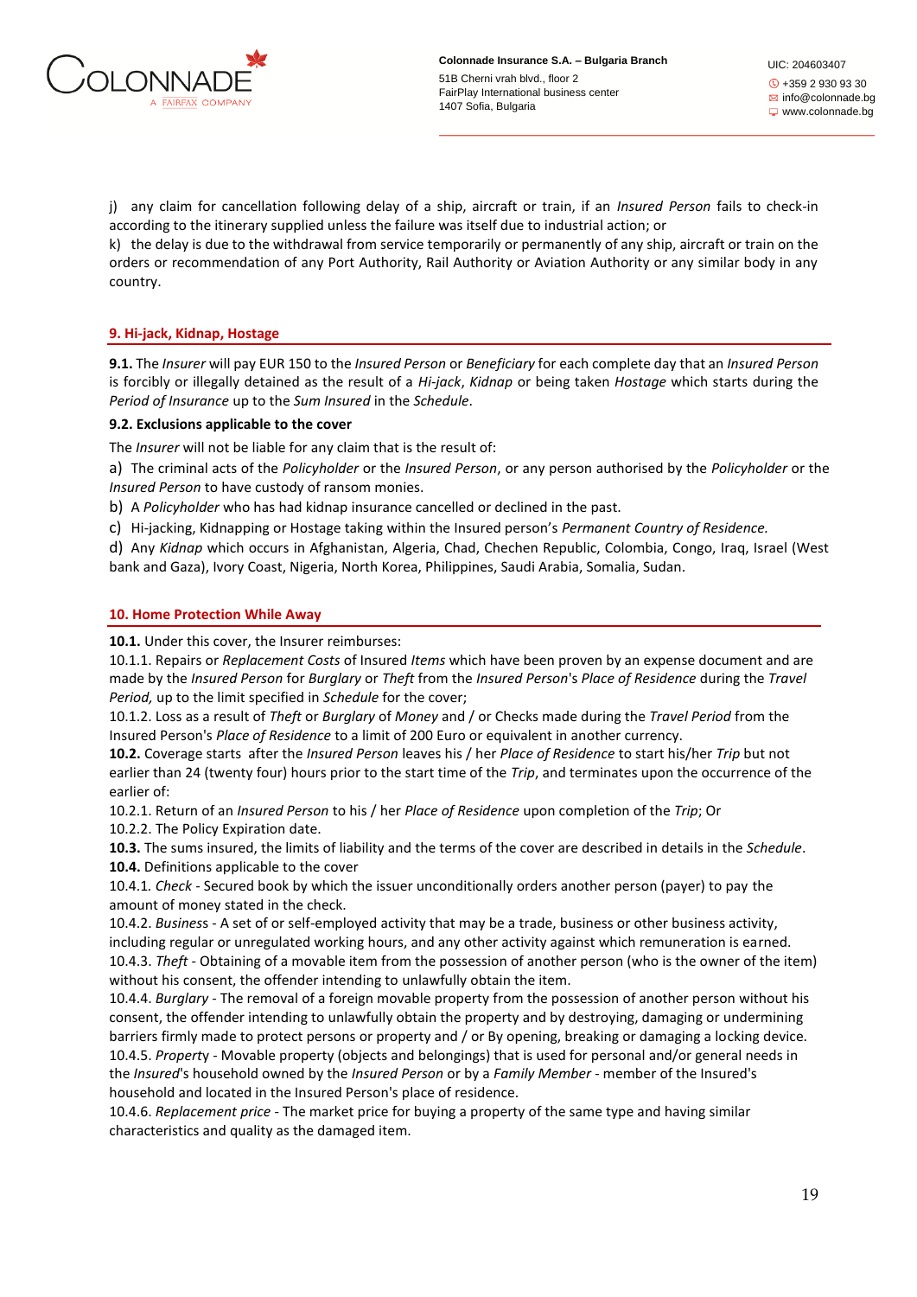

j) any claim for cancellation following delay of a ship, aircraft or train, if an *Insured Person* fails to check-in according to the itinerary supplied unless the failure was itself due to industrial action; or

k) the delay is due to the withdrawal from service temporarily or permanently of any ship, aircraft or train on the orders or recommendation of any Port Authority, Rail Authority or Aviation Authority or any similar body in any country.

# **9. Hi-jack, Kidnap, Hostage**

**9.1.** The *Insurer* will pay EUR 150 to the *Insured Person* or *Beneficiary* for each complete day that an *Insured Person* is forcibly or illegally detained as the result of a *Hi-jack*, *Kidnap* or being taken *Hostage* which starts during the *Period of Insurance* up to the *Sum Insured* in the *Schedule*.

# **9.2. Exclusions applicable to the cover**

The *Insurer* will not be liable for any claim that is the result of:

a) The criminal acts of the *Policyholder* or the *Insured Person*, or any person authorised by the *Policyholder* or the *Insured Person* to have custody of ransom monies.

b) A *Policyholder* who has had kidnap insurance cancelled or declined in the past.

c) Hi-jacking, Kidnapping or Hostage taking within the Insured person's *Permanent Country of Residence.*

d) Any *Kidnap* which occurs in Afghanistan, Algeria, Chad, Chechen Republic, Colombia, Congo, Iraq, Israel (West bank and Gaza), Ivory Coast, Nigeria, North Korea, Philippines, Saudi Arabia, Somalia, Sudan.

# **10. Home Protection While Away**

**10.1.** Under this cover, the Insurer reimburses:

10.1.1. Repairs or *Replacement Costs* of Insured *Items* which have been proven by an expense document and are made by the *Insured Person* for *Burglary* or *Theft* from the *Insured Person*'s *Place of Residence* during the *Travel Period,* up to the limit specified in *Schedule* for the cover;

10.1.2. Loss as a result of *Theft* or *Burglary* of *Money* and / or Checks made during the *Travel Period* from the Insured Person's *Place of Residence* to a limit of 200 Euro or equivalent in another currency.

**10.2.** Coverage starts after the *Insured Person* leaves his / her *Place of Residence* to start his/her *Trip* but not earlier than 24 (twenty four) hours prior to the start time of the *Trip*, and terminates upon the occurrence of the earlier of:

10.2.1. Return of an *Insured Person* to his / her *Place of Residence* upon completion of the *Trip*; Or 10.2.2. The Policy Expiration date.

**10.3.** The sums insured, the limits of liability and the terms of the cover are described in details in the *Schedule*. **10.4.** Definitions applicable to the cover

10.4.1*. Check* - Secured book by which the issuer unconditionally orders another person (payer) to pay the amount of money stated in the check.

10.4.2. *Busines*s - A set of or self-employed activity that may be a trade, business or other business activity, including regular or unregulated working hours, and any other activity against which remuneration is earned. 10.4.3. *Theft* - Obtaining of a movable item from the possession of another person (who is the owner of the item) without his consent, the offender intending to unlawfully obtain the item.

10.4.4. *Burglary* - The removal of a foreign movable property from the possession of another person without his consent, the offender intending to unlawfully obtain the property and by destroying, damaging or undermining barriers firmly made to protect persons or property and / or By opening, breaking or damaging a locking device. 10.4.5. *Propert*y - Movable property (objects and belongings) that is used for personal and/or general needs in the *Insured*'s household owned by the *Insured Person* or by a *Family Member* - member of the Insured's household and located in the Insured Person's place of residence.

10.4.6. *Replacement price* - The market price for buying a property of the same type and having similar characteristics and quality as the damaged item.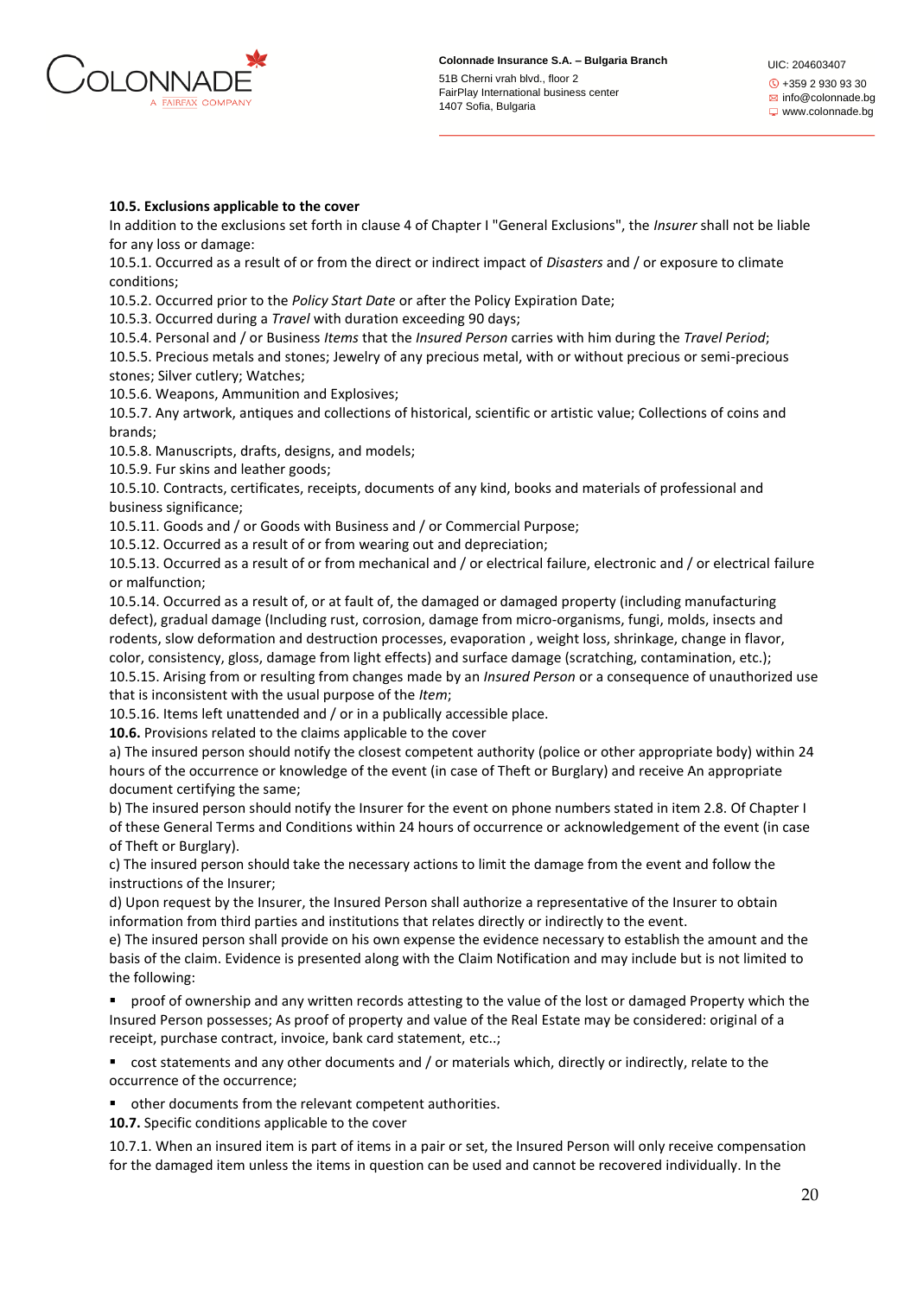

### **10.5. Exclusions applicable to the cover**

In addition to the exclusions set forth in clause 4 of Chapter I "General Exclusions", the *Insurer* shall not be liable for any loss or damage:

10.5.1. Occurred as a result of or from the direct or indirect impact of *Disasters* and / or exposure to climate conditions;

10.5.2. Occurred prior to the *Policy Start Date* or after the Policy Expiration Date;

10.5.3. Occurred during a *Travel* with duration exceeding 90 days;

10.5.4. Personal and / or Business *Items* that the *Insured Person* carries with him during the *Travel Period*;

10.5.5. Precious metals and stones; Jewelry of any precious metal, with or without precious or semi-precious stones; Silver cutlery; Watches;

10.5.6. Weapons, Ammunition and Explosives;

10.5.7. Any artwork, antiques and collections of historical, scientific or artistic value; Collections of coins and brands;

10.5.8. Manuscripts, drafts, designs, and models;

10.5.9. Fur skins and leather goods;

10.5.10. Contracts, certificates, receipts, documents of any kind, books and materials of professional and business significance;

10.5.11. Goods and / or Goods with Business and / or Commercial Purpose;

10.5.12. Occurred as a result of or from wearing out and depreciation;

10.5.13. Occurred as a result of or from mechanical and / or electrical failure, electronic and / or electrical failure or malfunction;

10.5.14. Occurred as a result of, or at fault of, the damaged or damaged property (including manufacturing defect), gradual damage (Including rust, corrosion, damage from micro-organisms, fungi, molds, insects and rodents, slow deformation and destruction processes, evaporation , weight loss, shrinkage, change in flavor, color, consistency, gloss, damage from light effects) and surface damage (scratching, contamination, etc.); 10.5.15. Arising from or resulting from changes made by an *Insured Person* or a consequence of unauthorized use that is inconsistent with the usual purpose of the *Item*;

10.5.16. Items left unattended and / or in a publically accessible place.

**10.6.** Provisions related to the claims applicable to the cover

a) The insured person should notify the closest competent authority (police or other appropriate body) within 24 hours of the occurrence or knowledge of the event (in case of Theft or Burglary) and receive An appropriate document certifying the same;

b) The insured person should notify the Insurer for the event on phone numbers stated in item 2.8. Of Chapter I of these General Terms and Conditions within 24 hours of occurrence or acknowledgement of the event (in case of Theft or Burglary).

c) The insured person should take the necessary actions to limit the damage from the event and follow the instructions of the Insurer;

d) Upon request by the Insurer, the Insured Person shall authorize a representative of the Insurer to obtain information from third parties and institutions that relates directly or indirectly to the event.

e) The insured person shall provide on his own expense the evidence necessary to establish the amount and the basis of the claim. Evidence is presented along with the Claim Notification and may include but is not limited to the following:

proof of ownership and any written records attesting to the value of the lost or damaged Property which the Insured Person possesses; As proof of property and value of the Real Estate may be considered: original of a receipt, purchase contract, invoice, bank card statement, etc..;

cost statements and any other documents and / or materials which, directly or indirectly, relate to the occurrence of the occurrence;

■ other documents from the relevant competent authorities.

**10.7.** Specific conditions applicable to the cover

10.7.1. When an insured item is part of items in a pair or set, the Insured Person will only receive compensation for the damaged item unless the items in question can be used and cannot be recovered individually. In the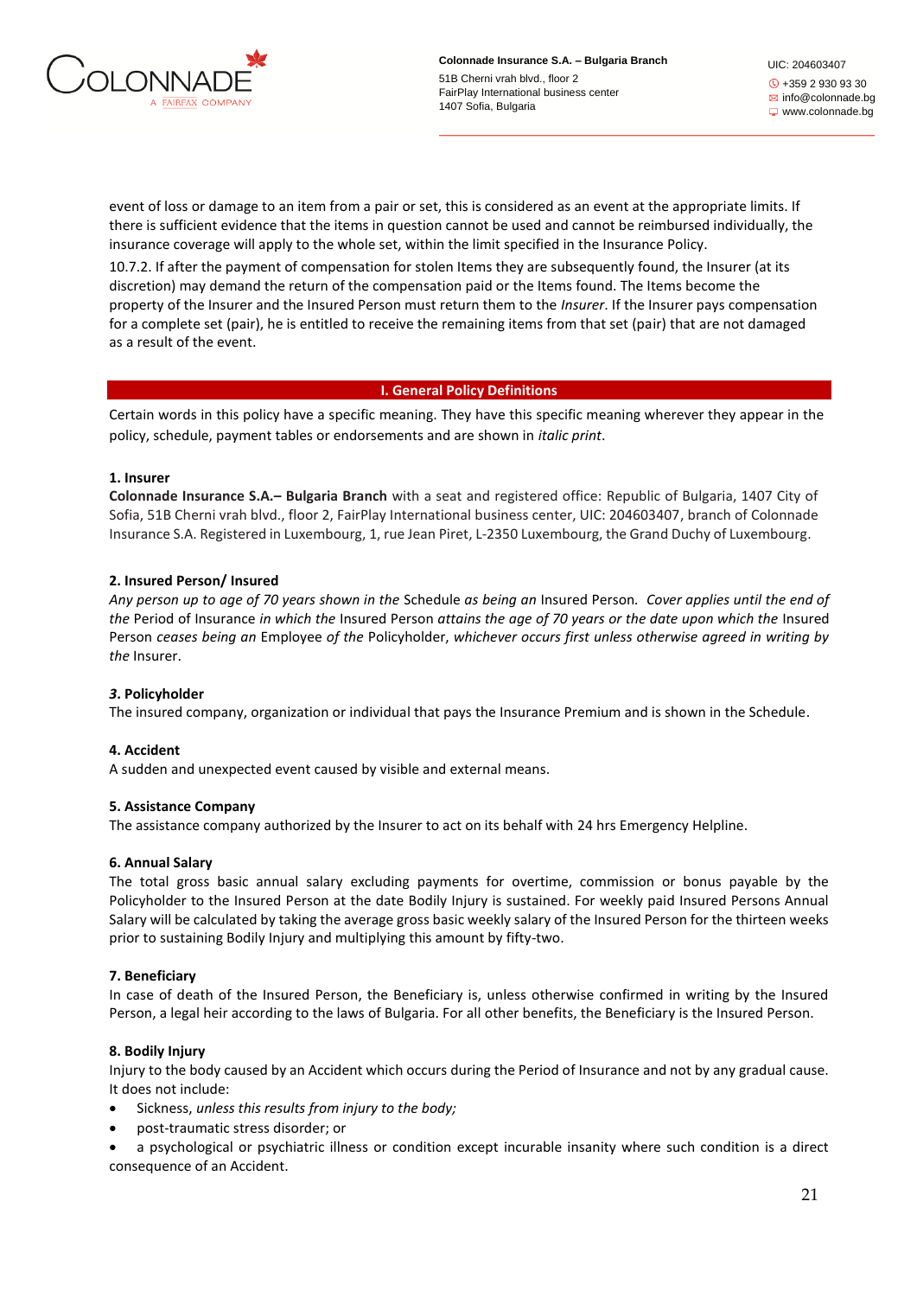

UIC: 204603407 +359 2 930 93 30  $\boxtimes$  info@colonnade.bg www.colonnade.bg

event of loss or damage to an item from a pair or set, this is considered as an event at the appropriate limits. If there is sufficient evidence that the items in question cannot be used and cannot be reimbursed individually, the insurance coverage will apply to the whole set, within the limit specified in the Insurance Policy.

10.7.2. If after the payment of compensation for stolen Items they are subsequently found, the Insurer (at its discretion) may demand the return of the compensation paid or the Items found. The Items become the property of the Insurer and the Insured Person must return them to the *Insurer*. If the Insurer pays compensation for a complete set (pair), he is entitled to receive the remaining items from that set (pair) that are not damaged as a result of the event.

# **I. General Policy Definitions**

Certain words in this policy have a specific meaning. They have this specific meaning wherever they appear in the policy, schedule, payment tables or endorsements and are shown in *italic print*.

### **1. Insurer**

**Colonnade Insurance S.A.– Bulgaria Branch** with a seat and registered office: Republic of Bulgaria, 1407 City of Sofia, 51B Cherni vrah blvd., floor 2, FairPlay International business center, UIC: 204603407, branch of Colonnade Insurance S.A. Registered in Luxembourg, 1, rue Jean Piret, L-2350 Luxembourg, the Grand Duchy of Luxembourg.

# **2. Insured Person/ Insured**

*Any person up to age of 70 years shown in the* Schedule *as being an* Insured Person*. Cover applies until the end of the* Period of Insurance *in which the* Insured Person *attains the age of 70 years or the date upon which the* Insured Person *ceases being an* Employee *of the* Policyholder, *whichever occurs first unless otherwise agreed in writing by the* Insurer.

# *3***. Policyholder**

The insured company, organization or individual that pays the Insurance Premium and is shown in the Schedule.

#### **4. Accident**

A sudden and unexpected event caused by visible and external means.

#### **5. Assistance Company**

The assistance company authorized by the Insurer to act on its behalf with 24 hrs Emergency Helpline.

#### **6. Annual Salary**

The total gross basic annual salary excluding payments for overtime, commission or bonus payable by the Policyholder to the Insured Person at the date Bodily Injury is sustained. For weekly paid Insured Persons Annual Salary will be calculated by taking the average gross basic weekly salary of the Insured Person for the thirteen weeks prior to sustaining Bodily Injury and multiplying this amount by fifty-two.

#### **7. Beneficiary**

In case of death of the Insured Person, the Beneficiary is, unless otherwise confirmed in writing by the Insured Person, a legal heir according to the laws of Bulgaria. For all other benefits, the Beneficiary is the Insured Person.

# **8. Bodily Injury**

Injury to the body caused by an Accident which occurs during the Period of Insurance and not by any gradual cause. It does not include:

- Sickness, *unless this results from injury to the body;*
- post-traumatic stress disorder; or
- a psychological or psychiatric illness or condition except incurable insanity where such condition is a direct consequence of an Accident.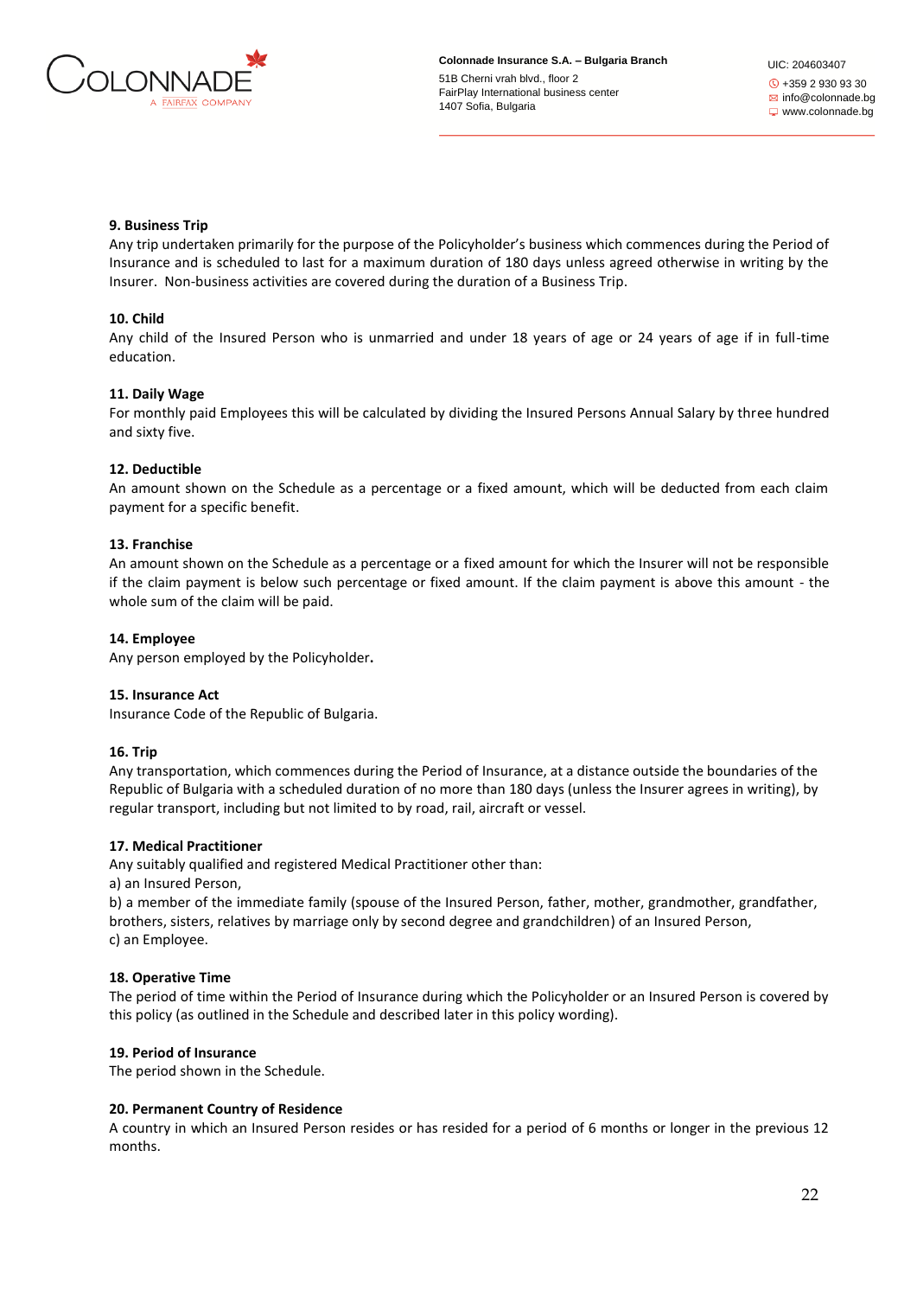

UIC: 204603407 +359 2 930 93 30  $\boxtimes$  info@colonnade.bg www.colonnade.bg

# **9. Business Trip**

Any trip undertaken primarily for the purpose of the Policyholder's business which commences during the Period of Insurance and is scheduled to last for a maximum duration of 180 days unless agreed otherwise in writing by the Insurer. Non-business activities are covered during the duration of a Business Trip.

# **10. Child**

Any child of the Insured Person who is unmarried and under 18 years of age or 24 years of age if in full-time education.

# **11. Daily Wage**

For monthly paid Employees this will be calculated by dividing the Insured Persons Annual Salary by three hundred and sixty five.

# **12. Deductible**

An amount shown on the Schedule as a percentage or a fixed amount, which will be deducted from each claim payment for a specific benefit.

# **13. Franchise**

An amount shown on the Schedule as a percentage or a fixed amount for which the Insurer will not be responsible if the claim payment is below such percentage or fixed amount. If the claim payment is above this amount - the whole sum of the claim will be paid.

# **14. Employee**

Any person employed by the Policyholder**.**

# **15. Insurance Act**

Insurance Code of the Republic of Bulgaria.

# **16. Trip**

Any transportation, which commences during the Period of Insurance, at a distance outside the boundaries of the Republic of Bulgaria with a scheduled duration of no more than 180 days (unless the Insurer agrees in writing), by regular transport, including but not limited to by road, rail, aircraft or vessel.

# **17. Medical Practitioner**

Any suitably qualified and registered Medical Practitioner other than:

a) an Insured Person,

b) a member of the immediate family (spouse of the Insured Person, father, mother, grandmother, grandfather, brothers, sisters, relatives by marriage only by second degree and grandchildren) of an Insured Person, c) an Employee.

# **18. Operative Time**

The period of time within the Period of Insurance during which the Policyholder or an Insured Person is covered by this policy (as outlined in the Schedule and described later in this policy wording).

# **19. Period of Insurance**

The period shown in the Schedule.

# **20. Permanent Country of Residence**

A country in which an Insured Person resides or has resided for a period of 6 months or longer in the previous 12 months.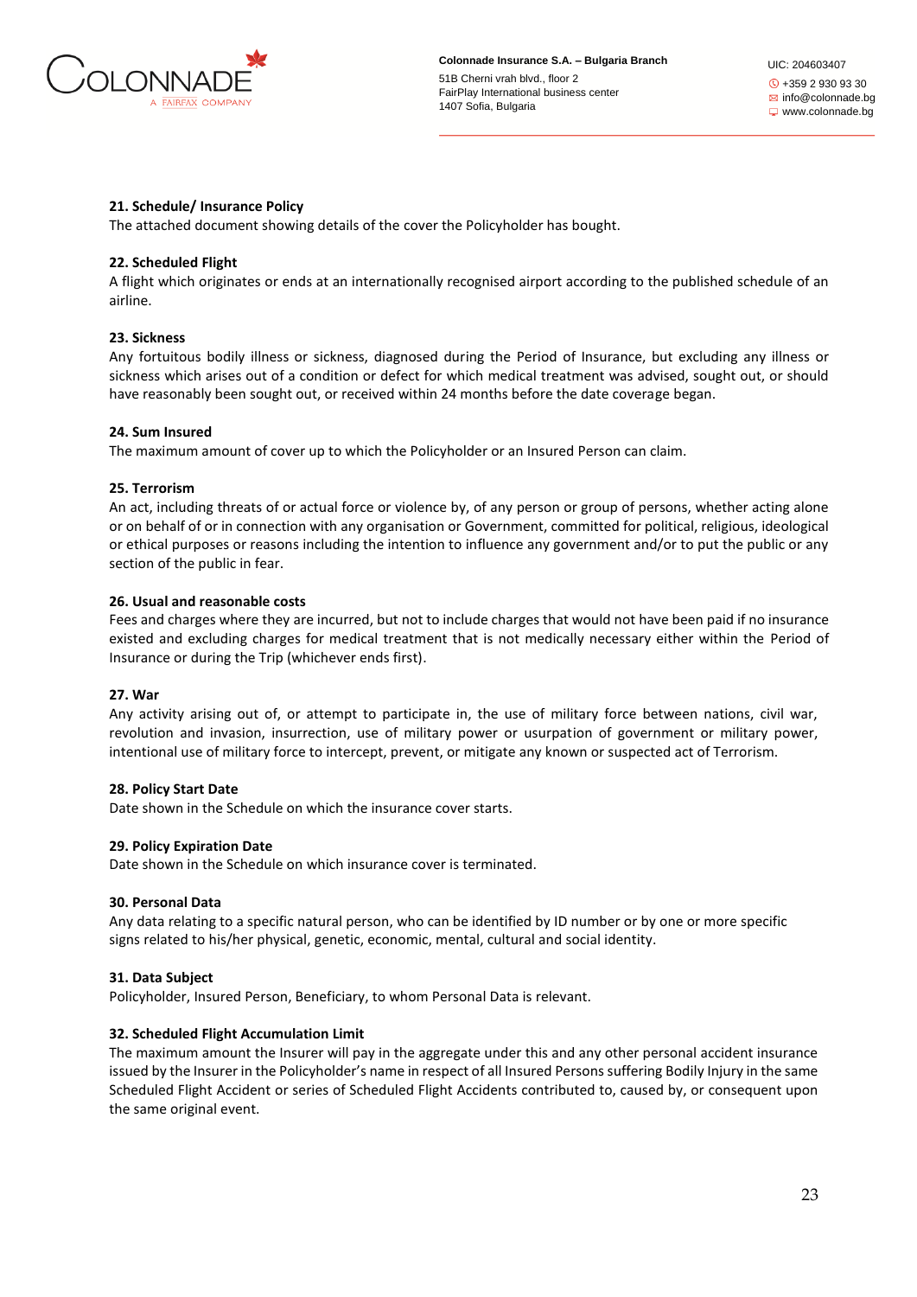

UIC: 204603407 +359 2 930 93 30  $\boxtimes$  info@colonnade.bg www.colonnade.bg

### **21. Schedule/ Insurance Policy**

The attached document showing details of the cover the Policyholder has bought.

### **22. Scheduled Flight**

A flight which originates or ends at an internationally recognised airport according to the published schedule of an airline.

### **23. Sickness**

Any fortuitous bodily illness or sickness, diagnosed during the Period of Insurance, but excluding any illness or sickness which arises out of a condition or defect for which medical treatment was advised, sought out, or should have reasonably been sought out, or received within 24 months before the date coverage began.

#### **24. Sum Insured**

The maximum amount of cover up to which the Policyholder or an Insured Person can claim.

#### **25. Terrorism**

An act, including threats of or actual force or violence by, of any person or group of persons, whether acting alone or on behalf of or in connection with any organisation or Government, committed for political, religious, ideological or ethical purposes or reasons including the intention to influence any government and/or to put the public or any section of the public in fear.

#### **26. Usual and reasonable costs**

Fees and charges where they are incurred, but not to include charges that would not have been paid if no insurance existed and excluding charges for medical treatment that is not medically necessary either within the Period of Insurance or during the Trip (whichever ends first).

#### **27. War**

Any activity arising out of, or attempt to participate in, the use of military force between nations, civil war, revolution and invasion, insurrection, use of military power or usurpation of government or military power, intentional use of military force to intercept, prevent, or mitigate any known or suspected act of Terrorism.

#### **28. Policy Start Date**

Date shown in the Schedule on which the insurance cover starts.

#### **29. Policy Expiration Date**

Date shown in the Schedule on which insurance cover is terminated.

#### **30. Personal Data**

Any data relating to a specific natural person, who can be identified by ID number or by one or more specific signs related to his/her physical, genetic, economic, mental, cultural and social identity.

#### **31. Data Subject**

Policyholder, Insured Person, Beneficiary, to whom Personal Data is relevant.

#### **32. Scheduled Flight Accumulation Limit**

The maximum amount the Insurer will pay in the aggregate under this and any other personal accident insurance issued by the Insurer in the Policyholder's name in respect of all Insured Persons suffering Bodily Injury in the same Scheduled Flight Accident or series of Scheduled Flight Accidents contributed to, caused by, or consequent upon the same original event.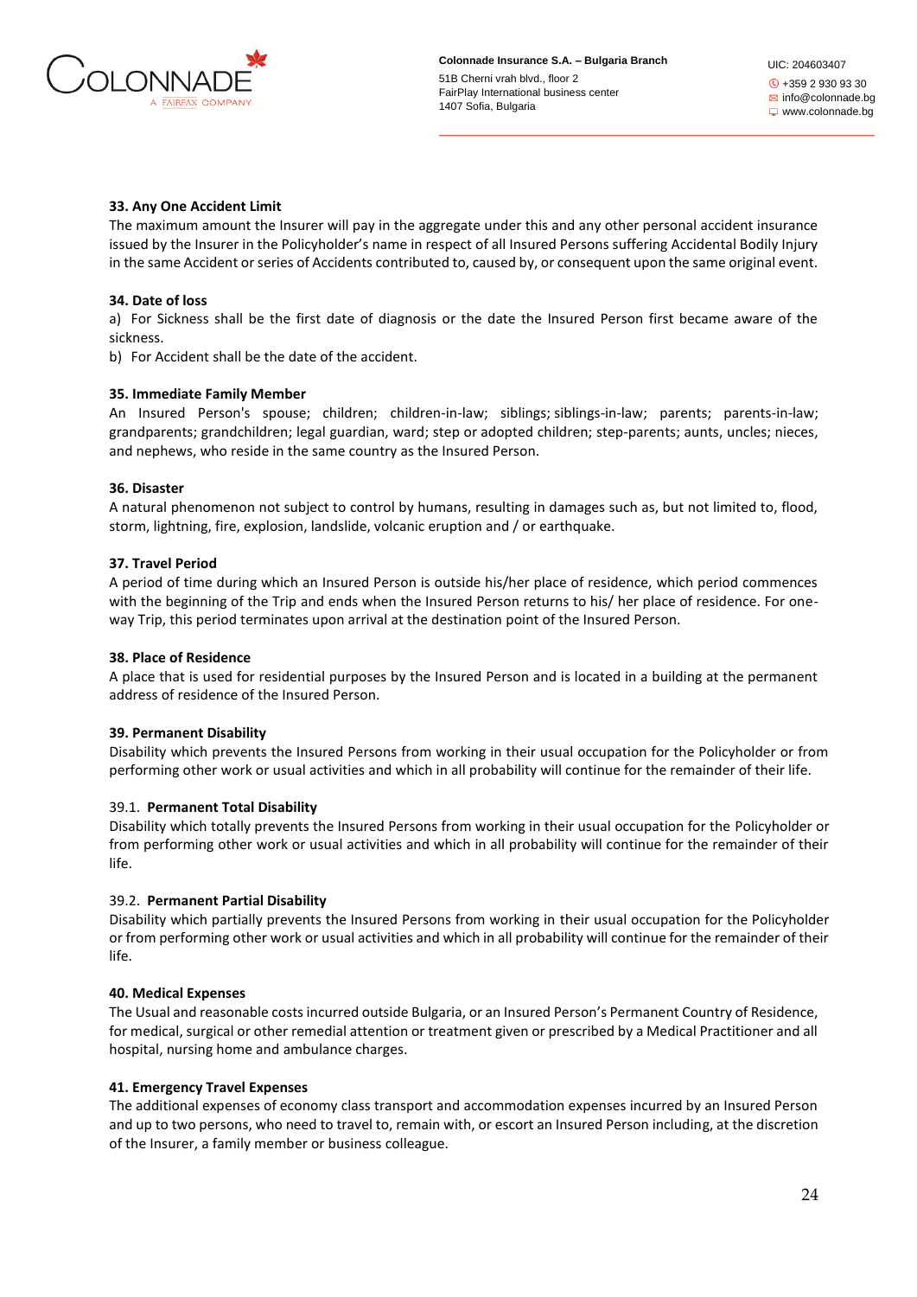

### **33. Any One Accident Limit**

The maximum amount the Insurer will pay in the aggregate under this and any other personal accident insurance issued by the Insurer in the Policyholder's name in respect of all Insured Persons suffering Accidental Bodily Injury in the same Accident or series of Accidents contributed to, caused by, or consequent upon the same original event.

#### **34. Date of loss**

a) For Sickness shall be the first date of diagnosis or the date the Insured Person first became aware of the sickness.

b) For Accident shall be the date of the accident.

### **35. Immediate Family Member**

An Insured Person's spouse; children; children-in-law; siblings; siblings-in-law; parents; parents-in-law; grandparents; grandchildren; legal guardian, ward; step or adopted children; step-parents; aunts, uncles; nieces, and nephews, who reside in the same country as the Insured Person.

### **36. Disaster**

A natural phenomenon not subject to control by humans, resulting in damages such as, but not limited to, flood, storm, lightning, fire, explosion, landslide, volcanic eruption and / or earthquake.

### **37. Travel Period**

A period of time during which an Insured Person is outside his/her place of residence, which period commences with the beginning of the Trip and ends when the Insured Person returns to his/ her place of residence. For oneway Trip, this period terminates upon arrival at the destination point of the Insured Person.

#### **38. Place of Residence**

A place that is used for residential purposes by the Insured Person and is located in a building at the permanent address of residence of the Insured Person.

# **39. Permanent Disability**

Disability which prevents the Insured Persons from working in their usual occupation for the Policyholder or from performing other work or usual activities and which in all probability will continue for the remainder of their life.

#### 39.1. **Permanent Total Disability**

Disability which totally prevents the Insured Persons from working in their usual occupation for the Policyholder or from performing other work or usual activities and which in all probability will continue for the remainder of their life.

# 39.2. **Permanent Partial Disability**

Disability which partially prevents the Insured Persons from working in their usual occupation for the Policyholder or from performing other work or usual activities and which in all probability will continue for the remainder of their life.

#### **40. Medical Expenses**

The Usual and reasonable costs incurred outside Bulgaria, or an Insured Person's Permanent Country of Residence, for medical, surgical or other remedial attention or treatment given or prescribed by a Medical Practitioner and all hospital, nursing home and ambulance charges.

#### **41. Emergency Travel Expenses**

The additional expenses of economy class transport and accommodation expenses incurred by an Insured Person and up to two persons, who need to travel to, remain with, or escort an Insured Person including, at the discretion of the Insurer, a family member or business colleague.